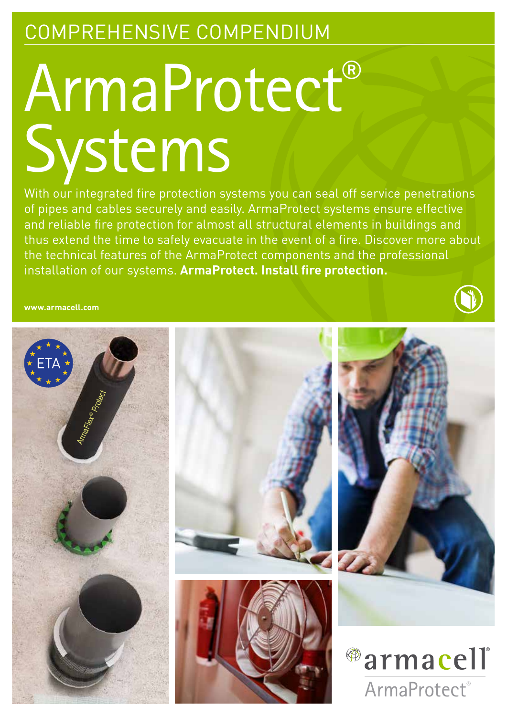# COMPREHENSIVE COMPENDIUM

# ArmaProtect® Systems

With our integrated fire protection systems you can seal off service penetrations of pipes and cables securely and easily. ArmaProtect systems ensure effective and reliable fire protection for almost all structural elements in buildings and thus extend the time to safely evacuate in the event of a fire. Discover more about the technical features of the ArmaProtect components and the professional installation of our systems. **ArmaProtect. Install fire protection.**

**www.armacell.com**

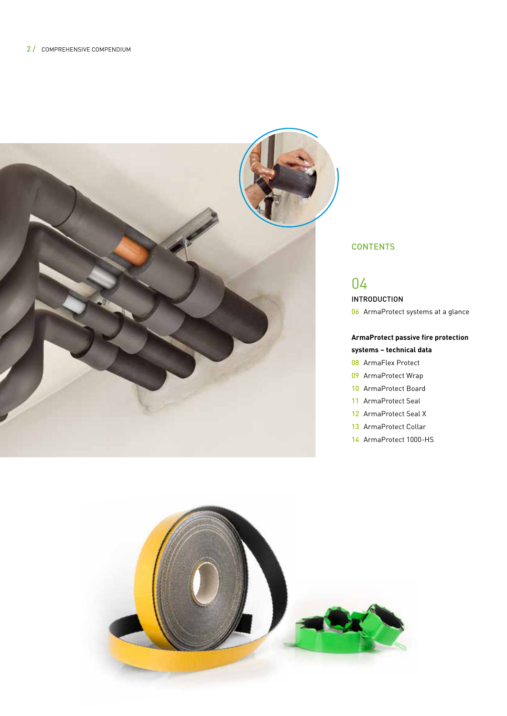

### **CONTENTS**

## 

INTRODUCTION ArmaProtect systems at a glance

### **ArmaProtect passive fire protection systems – technical data**

- ArmaFlex Protect
- ArmaProtect Wrap
- ArmaProtect Board
- ArmaProtect Seal
- ArmaProtect Seal X
- ArmaProtect Collar
- ArmaProtect 1000-HS

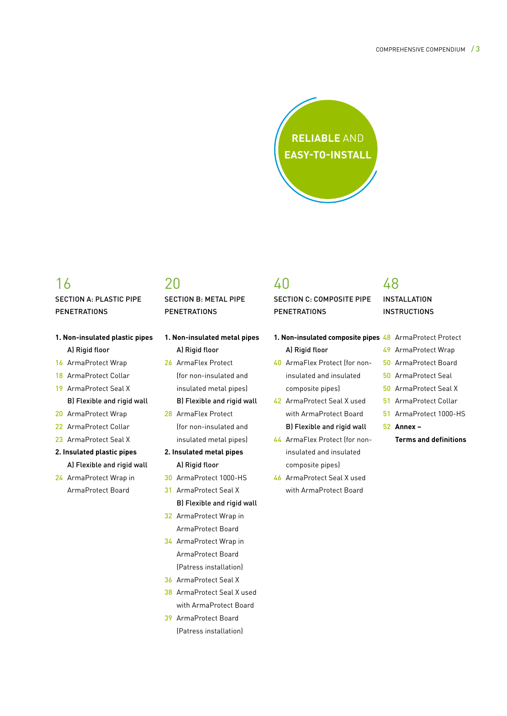# **RELIABLE** AND **EASY-TO-INSTALL**

### 16

SECTION A: PLASTIC PIPE **PENETRATIONS** 

- **1. Non-insulated plastic pipes** A) Rigid floor
- 16 ArmaProtect Wrap
- 18 ArmaProtect Collar
- 19 ArmaProtect Seal X B) Flexible and rigid wall

### 20 ArmaProtect Wrap

- 22 ArmaProtect Collar
- 23 ArmaProtect Seal X
- **2. Insulated plastic pipes**

A) Flexible and rigid wall 24 ArmaProtect Wrap in

ArmaProtect Board

### 20

SECTION B: METAL PIPE PENETRATIONS

### **1. Non-insulated metal pipes** A) Rigid floor

- 26 ArmaFlex Protect (for non-insulated and insulated metal pipes)
- B) Flexible and rigid wall 28 ArmaFlex Protect (for non-insulated and insulated metal pipes)
- **2. Insulated metal pipes** A) Rigid floor
- 30 ArmaProtect 1000-HS
- 31 ArmaProtect Seal X
- B) Flexible and rigid wall 32 ArmaProtect Wrap in
- ArmaProtect Board
- 34 ArmaProtect Wrap in ArmaProtect Board (Patress installation)
- 36 ArmaProtect Seal X
- 38 ArmaProtect Seal X used with ArmaProtect Board
- 39 ArmaProtect Board (Patress installation)

### 40

SECTION C: COMPOSITE PIPE **PENETRATIONS** 

### 1. Non-insulated composite pipes 48 ArmaProtect Protect A) Rigid floor

- 40 ArmaFlex Protect (for noninsulated and insulated composite pipes)
- 42 ArmaProtect Seal X used with ArmaProtect Board B) Flexible and rigid wall
- 44 ArmaFlex Protect (for noninsulated and insulated composite pipes)
- 46 ArmaProtect Seal X used with ArmaProtect Board

### 48

### INSTALLATION INSTRUCTIONS

- 
- 49 ArmaProtect Wrap
- 50 ArmaProtect Board
- 50 ArmaProtect Seal
- 50 ArmaProtect Seal X
- 51 ArmaProtect Collar
- 51 ArmaProtect 1000-HS
- 52 **Annex –**

**Terms and definitions**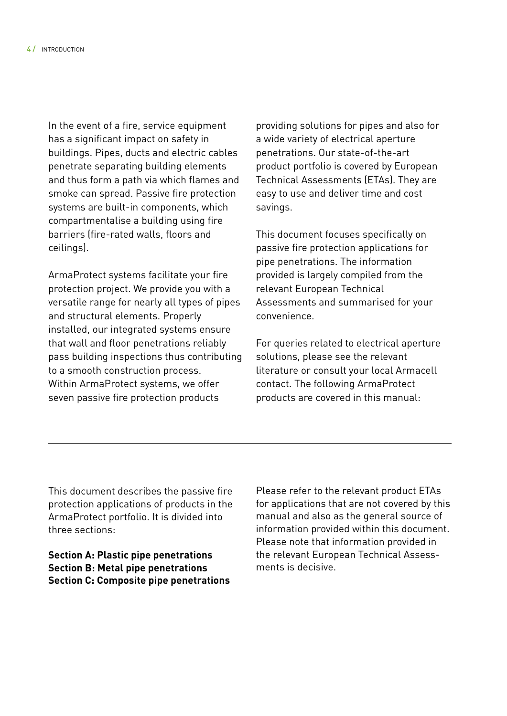In the event of a fire, service equipment has a significant impact on safety in buildings. Pipes, ducts and electric cables penetrate separating building elements and thus form a path via which flames and smoke can spread. Passive fire protection systems are built-in components, which compartmentalise a building using fire barriers (fire-rated walls, floors and ceilings).

ArmaProtect systems facilitate your fire protection project. We provide you with a versatile range for nearly all types of pipes and structural elements. Properly installed, our integrated systems ensure that wall and floor penetrations reliably pass building inspections thus contributing to a smooth construction process. Within ArmaProtect systems, we offer seven passive fire protection products

providing solutions for pipes and also for a wide variety of electrical aperture penetrations. Our state-of-the-art product portfolio is covered by European Technical Assessments (ETAs). They are easy to use and deliver time and cost savings.

This document focuses specifically on passive fire protection applications for pipe penetrations. The information provided is largely compiled from the relevant European Technical Assessments and summarised for your convenience.

For queries related to electrical aperture solutions, please see the relevant literature or consult your local Armacell contact. The following ArmaProtect products are covered in this manual:

This document describes the passive fire protection applications of products in the ArmaProtect portfolio. It is divided into three sections:

**Section A: Plastic pipe penetrations Section B: Metal pipe penetrations Section C: Composite pipe penetrations**

Please refer to the relevant product ETAs for applications that are not covered by this manual and also as the general source of information provided within this document. Please note that information provided in the relevant European Technical Assessments is decisive.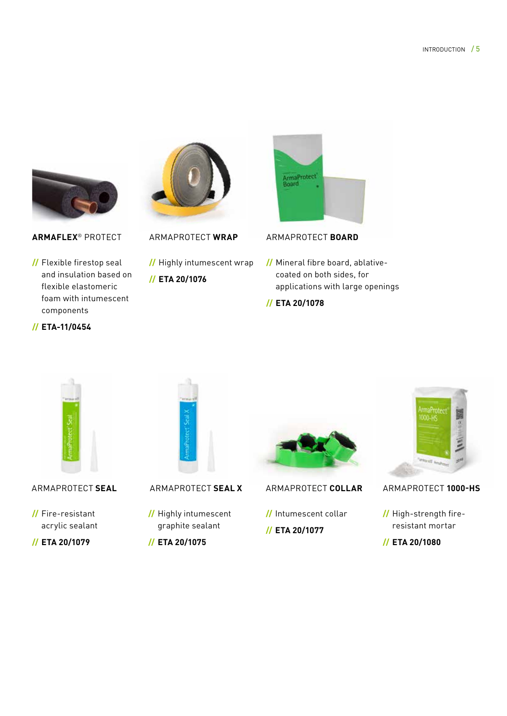

### **ARMAFLEX**® PROTECT ARMAPROTECT **WRAP**

**//** Flexible firestop seal and insulation based on flexible elastomeric foam with intumescent components

### **// ETA-11/0454**



**//** Highly intumescent wrap **// ETA 20/1076**



ARMAPROTECT **BOARD**

- **//** Mineral fibre board, ablativecoated on both sides, for applications with large openings
- **// ETA 20/1078**



**//** Fire-resistant acrylic sealant

**// ETA 20/1079**



### ARMAPROTECT **SEAL X**

- **//** Highly intumescent graphite sealant
- **// ETA 20/1075**



ARMAPROTECT **COLLAR** ARMAPROTECT **SEAL** ARMAPROTECT **1000-HS**

**//** Intumescent collar **// ETA 20/1077**



- **//** High-strength fireresistant mortar
- **// ETA 20/1080**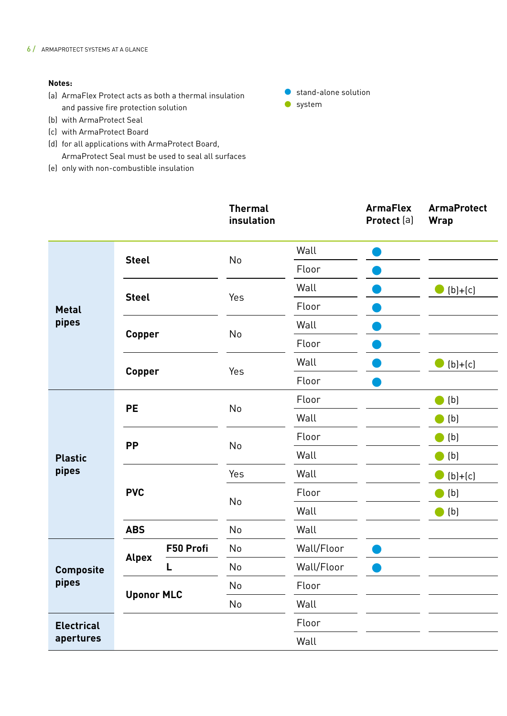### **Notes:**

- (a) ArmaFlex Protect acts as both a thermal insulation and passive fire protection solution
- (b) with ArmaProtect Seal
- (c) with ArmaProtect Board
- (d) for all applications with ArmaProtect Board, ArmaProtect Seal must be used to seal all surfaces
- (e) only with non-combustible insulation
- **Thermal insulation ArmaFlex Protect** (a) **ArmaProtect Wrap Metal pipes Steel** No Wall Floor **Steel** Yes  $\begin{picture}(16,17) \put(0,0){\line(1,0){155}} \put(15,0){\line(1,0){155}} \put(15,0){\line(1,0){155}} \put(15,0){\line(1,0){155}} \put(15,0){\line(1,0){155}} \put(15,0){\line(1,0){155}} \put(15,0){\line(1,0){155}} \put(15,0){\line(1,0){155}} \put(15,0){\line(1,0){155}} \put(15,0){\line(1,0){155}} \put(15,0){\line(1,0){155}} \$  $Floor$   $\qquad \qquad$   $\qquad \qquad$   $\qquad \qquad$   $\qquad \qquad$   $\qquad \qquad$   $\qquad \qquad$   $\qquad \qquad$   $\qquad$   $\qquad \qquad$   $\qquad$   $\qquad \qquad$   $\qquad$   $\qquad$   $\qquad$   $\qquad$   $\qquad$   $\qquad$   $\qquad$   $\qquad$   $\qquad$   $\qquad$   $\qquad$   $\qquad$   $\qquad$   $\qquad$   $\qquad$   $\qquad$   $\qquad$   $\qquad$   $\qquad$   $\qquad$   $\q$ **Copper** No Wall Floor **Copper** Yes  $\begin{picture}(180,170)(-10,0) \put(0,0){\line(1,0){15}} \put(10,0){\line(1,0){15}} \put(10,0){\line(1,0){15}} \put(10,0){\line(1,0){15}} \put(10,0){\line(1,0){15}} \put(10,0){\line(1,0){15}} \put(10,0){\line(1,0){15}} \put(10,0){\line(1,0){15}} \put(10,0){\line(1,0){15}} \put(10,0){\line(1,0){15}} \put(10,0){\line(1,0){15}} \put(1$ Floor **Q Plastic pipes PE** No Floor (b) (b)  $\begin{picture}(180,170)(-10,0) \put(0,0){\line(1,0){10}} \put(10,0){\line(1,0){10}} \put(10,0){\line(1,0){10}} \put(10,0){\line(1,0){10}} \put(10,0){\line(1,0){10}} \put(10,0){\line(1,0){10}} \put(10,0){\line(1,0){10}} \put(10,0){\line(1,0){10}} \put(10,0){\line(1,0){10}} \put(10,0){\line(1,0){10}} \put(10,0){\line(1,0){10}} \put(1$ **PP** No Floor (b) (b)  $\begin{picture}(18,17) \put(0,0){\line(1,0){10}} \put(1,0){\line(1,0){10}} \put(1,0){\line(1,0){10}} \put(1,0){\line(1,0){10}} \put(1,0){\line(1,0){10}} \put(1,0){\line(1,0){10}} \put(1,0){\line(1,0){10}} \put(1,0){\line(1,0){10}} \put(1,0){\line(1,0){10}} \put(1,0){\line(1,0){10}} \put(1,0){\line(1,0){10}} \put(1,0){\line(1,0){10}} \put(1,$ **PVC**  $Yes$  Wall  $Wall$  (b)+(c) No  $Floor$   $\qquad \qquad$   $\qquad \qquad$   $\qquad$   $\qquad$   $\qquad$   $\qquad$   $\qquad$   $\qquad$   $\qquad$   $\qquad$   $\qquad$   $\qquad$   $\qquad$   $\qquad$   $\qquad$   $\qquad$   $\qquad$   $\qquad$   $\qquad$   $\qquad$   $\qquad$   $\qquad$   $\qquad$   $\qquad$   $\qquad$   $\qquad$   $\qquad$   $\qquad$   $\qquad$   $\qquad$   $\qquad$   $\qquad$   $\qquad$   $\qquad$   $\qquad$   $\blacksquare$  or  $\blacksquare$  or  $\blacksquare$  (b) or  $\blacksquare$ **ABS** No Wall Mall **No Wall Mall No Wall No Wall No Wall No Wall No Wall No Wall No Wall No Wall No Wall No Wall No Wall No Wall No Wall No Wall No Wall No Wall No Wall No Wall No Wa Composite pipes Alpex F50 Profi** No Wall/Floor **<sup>L</sup>** No Wall/Floor **Uponor MLC** No Floor Room Provide Provide Provide Provide Provide Provide Provide Provide Provide Provide Provide Provide<br>Provide Provide Provide Provide Provide Provide Provide Provide Provide Provide Provide Provide Provide Provid No Wall <u>Wall (c) and the Wall (c) and the Wall (c) and the Wall (c) and the Wall (c) and the Wall (c) and the W</u> **Electrical apertures** Floor or(c) (e) Wall (b) (c)

 $\bullet$ **o** system stand-alone solution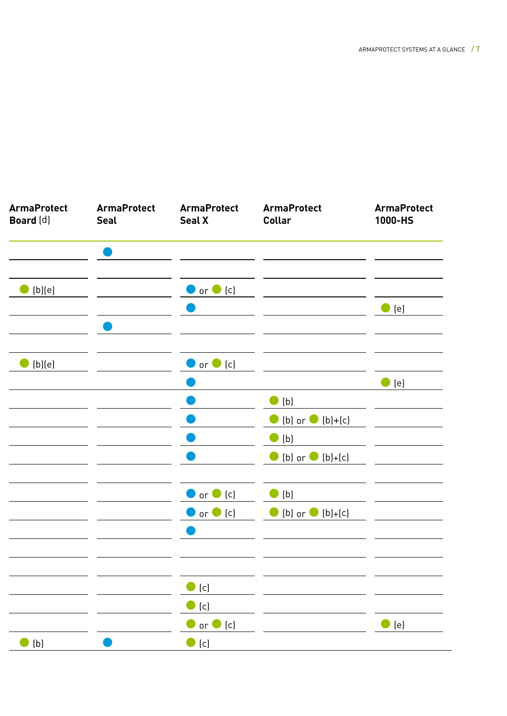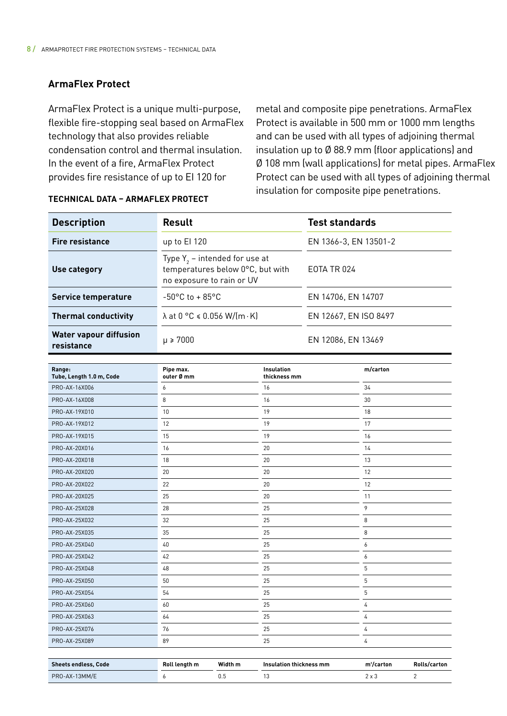### **ArmaFlex Protect**

ArmaFlex Protect is a unique multi-purpose, flexible fire-stopping seal based on ArmaFlex technology that also provides reliable condensation control and thermal insulation. In the event of a fire, ArmaFlex Protect provides fire resistance of up to EI 120 for

metal and composite pipe penetrations. ArmaFlex Protect is available in 500 mm or 1000 mm lengths and can be used with all types of adjoining thermal insulation up to Ø 88.9 mm (floor applications) and Ø 108 mm (wall applications) for metal pipes. ArmaFlex Protect can be used with all types of adjoining thermal insulation for composite pipe penetrations.

| <b>Description</b>                          | Result                                                                                            | <b>Test standards</b> |
|---------------------------------------------|---------------------------------------------------------------------------------------------------|-----------------------|
| <b>Fire resistance</b>                      | up to El 120                                                                                      | EN 1366-3, EN 13501-2 |
| Use category                                | Type $Y_2$ – intended for use at<br>temperatures below 0°C, but with<br>no exposure to rain or UV | <b>EOTA TR 024</b>    |
| Service temperature                         | $-50^{\circ}$ C to + 85 $^{\circ}$ C                                                              | EN 14706, EN 14707    |
| <b>Thermal conductivity</b>                 | $\lambda$ at 0 °C $\leq$ 0.056 W/(m $\cdot$ K)                                                    | EN 12667, EN ISO 8497 |
| <b>Water vapour diffusion</b><br>resistance | $\mu \ge 7000$                                                                                    | EN 12086, EN 13469    |

|  |  |  | TECHNICAL DATA - ARMAFLEX PROTECT |
|--|--|--|-----------------------------------|
|--|--|--|-----------------------------------|

| Range:<br>Tube, Length 1.0 m, Code | Pipe max.<br>outer Ø mm |         | Insulation<br>thickness mm | m/carton               |                |
|------------------------------------|-------------------------|---------|----------------------------|------------------------|----------------|
| PRO-AX-16X006                      | 6                       |         | 16                         | 34                     |                |
| PRO-AX-16X008                      | 8                       |         | 16                         | 30                     |                |
| PRO-AX-19X010                      | 10                      |         | 19                         | 18                     |                |
| PRO-AX-19X012                      | 12                      |         | 19                         | 17                     |                |
| PRO-AX-19X015                      | 15                      |         | 19                         | 16                     |                |
| PRO-AX-20X016                      | 16                      |         | 20                         | 14                     |                |
| PRO-AX-20X018                      | 18                      |         | 20                         | 13                     |                |
| PRO-AX-20X020                      | 20                      |         | 20                         | 12                     |                |
| PRO-AX-20X022                      | 22                      |         | 20                         | 12                     |                |
| PRO-AX-20X025                      | 25                      |         | 20                         | 11                     |                |
| PRO-AX-25X028                      | 28                      |         | 25                         | 9                      |                |
| PRO-AX-25X032                      | 32                      |         | 25                         | 8                      |                |
| PRO-AX-25X035                      | 35                      |         | 25                         | 8                      |                |
| PRO-AX-25X040                      | 40                      |         | 25                         | 6                      |                |
| PRO-AX-25X042                      | 42                      |         | 25                         | 6                      |                |
| PRO-AX-25X048                      | 48                      |         | 25                         | 5                      |                |
| PRO-AX-25X050                      | 50                      |         | 25                         | 5                      |                |
| PRO-AX-25X054                      | 54                      |         | 25                         | 5                      |                |
| PRO-AX-25X060                      | 60                      |         | 25                         | 4                      |                |
| PRO-AX-25X063                      | 64                      |         | 25                         | 4                      |                |
| PRO-AX-25X076                      | 76                      |         | 25                         | 4                      |                |
| PRO-AX-25X089                      | 89                      |         | 25                         | $\overline{4}$         |                |
|                                    |                         |         |                            |                        |                |
| <b>Sheets endless, Code</b>        | Roll length m           | Width m | Insulation thickness mm    | m <sup>2</sup> /carton | Rolls/carton   |
| PRO-AX-13MM/E                      | 6                       | 0.5     | 13                         | $2 \times 3$           | $\overline{2}$ |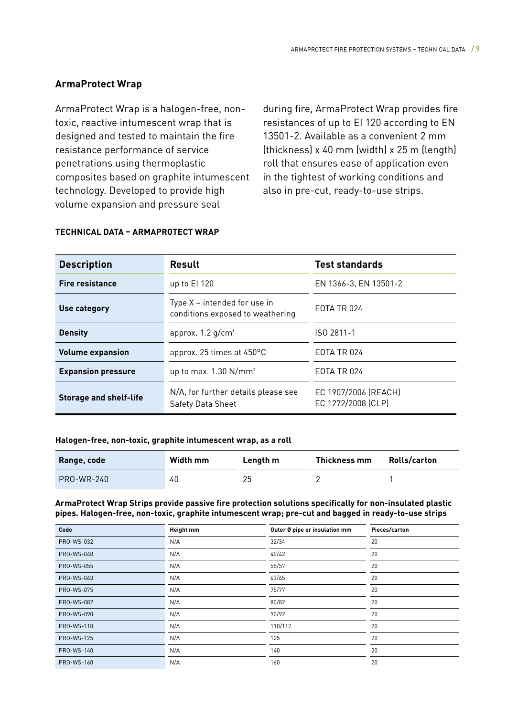### **ArmaProtect Wrap**

ArmaProtect Wrap is a halogen-free, nontoxic, reactive intumescent wrap that is designed and tested to maintain the fire resistance performance of service penetrations using thermoplastic composites based on graphite intumescent technology. Developed to provide high volume expansion and pressure seal

during fire, ArmaProtect Wrap provides fire resistances of up to EI 120 according to EN 13501-2. Available as a convenient 2 mm (thickness) x 40 mm (width) x 25 m (length) roll that ensures ease of application even in the tightest of working conditions and also in pre-cut, ready-to-use strips.

| <b>Description</b>            | <b>Result</b>                                                      | <b>Test standards</b>                      |
|-------------------------------|--------------------------------------------------------------------|--------------------------------------------|
| <b>Fire resistance</b>        | up to El 120                                                       | EN 1366-3, EN 13501-2                      |
| Use category                  | Type $X$ – intended for use in<br>conditions exposed to weathering | <b>EOTA TR 024</b>                         |
| <b>Density</b>                | approx. $1.2$ g/cm <sup>3</sup>                                    | ISO 2811-1                                 |
| <b>Volume expansion</b>       | approx. 25 times at 450°C                                          | <b>EOTA TR 024</b>                         |
| <b>Expansion pressure</b>     | up to max. $1.30$ N/mm <sup>2</sup>                                | <b>EOTA TR 024</b>                         |
| <b>Storage and shelf-life</b> | N/A, for further details please see<br><b>Safety Data Sheet</b>    | EC 1907/2006 (REACH)<br>EC 1272/2008 (CLP) |

### **TECHNICAL DATA – ARMAPROTECT WRAP**

### **Halogen-free, non-toxic, graphite intumescent wrap, as a roll**

| Range, code       | Width mm | Length m | Thickness mm | Rolls/carton |
|-------------------|----------|----------|--------------|--------------|
| <b>PRO-WR-240</b> | 40       | 25       |              |              |

### **ArmaProtect Wrap Strips provide passive fire protection solutions specifically for non-insulated plastic pipes. Halogen-free, non-toxic, graphite intumescent wrap; pre-cut and bagged in ready-to-use strips**

| Code              | Height mm | Outer Ø pipe or insulation mm | Pieces/carton |
|-------------------|-----------|-------------------------------|---------------|
| <b>PRO-WS-032</b> | N/A       | 32/34                         | 20            |
| <b>PRO-WS-040</b> | N/A       | 40/42                         | 20            |
| <b>PRO-WS-055</b> | N/A       | 55/57                         | 20            |
| PRO-WS-063        | N/A       | 63/65                         | 20            |
| <b>PRO-WS-075</b> | N/A       | 75/77                         | 20            |
| <b>PRO-WS-082</b> | N/A       | 80/82                         | 20            |
| <b>PRO-WS-090</b> | N/A       | 90/92                         | 20            |
| <b>PRO-WS-110</b> | N/A       | 110/112                       | 20            |
| <b>PRO-WS-125</b> | N/A       | 125                           | 20            |
| <b>PRO-WS-140</b> | N/A       | 140                           | 20            |
| <b>PRO-WS-160</b> | N/A       | 160                           | 20            |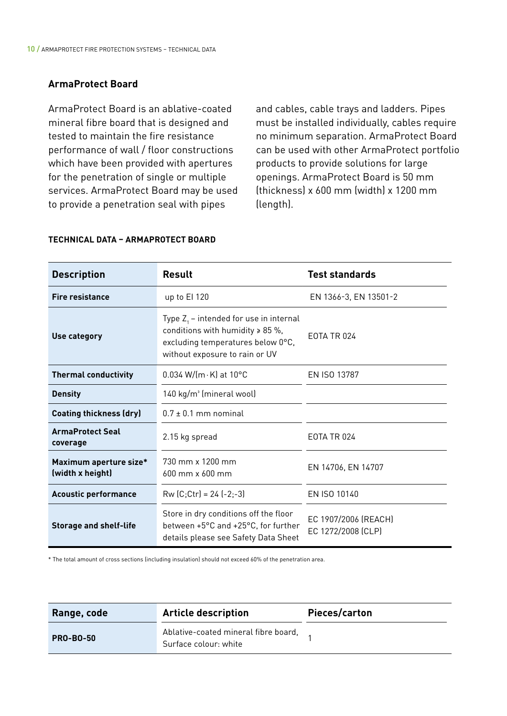### **ArmaProtect Board**

ArmaProtect Board is an ablative-coated mineral fibre board that is designed and tested to maintain the fire resistance performance of wall / floor constructions which have been provided with apertures for the penetration of single or multiple services. ArmaProtect Board may be used to provide a penetration seal with pipes

and cables, cable trays and ladders. Pipes must be installed individually, cables require no minimum separation. ArmaProtect Board can be used with other ArmaProtect portfolio products to provide solutions for large openings. ArmaProtect Board is 50 mm (thickness) x 600 mm (width) x 1200 mm (length).

| <b>Description</b>                         | <b>Result</b>                                                                                                                                             | <b>Test standards</b>                      |
|--------------------------------------------|-----------------------------------------------------------------------------------------------------------------------------------------------------------|--------------------------------------------|
| <b>Fire resistance</b>                     | up to El 120                                                                                                                                              | EN 1366-3, EN 13501-2                      |
| Use category                               | Type $Z_1$ – intended for use in internal<br>conditions with humidity $\geq 85$ %,<br>excluding temperatures below 0°C,<br>without exposure to rain or UV | <b>EOTA TR 024</b>                         |
| <b>Thermal conductivity</b>                | $0.034 W/(m \cdot K)$ at 10°C                                                                                                                             | EN ISO 13787                               |
| <b>Density</b>                             | 140 kg/m <sup>3</sup> (mineral wool)                                                                                                                      |                                            |
| <b>Coating thickness (dry)</b>             | $0.7 \pm 0.1$ mm nominal                                                                                                                                  |                                            |
| <b>ArmaProtect Seal</b><br>coverage        | 2.15 kg spread                                                                                                                                            | EOTA TR 024                                |
| Maximum aperture size*<br>(width x height) | 730 mm x 1200 mm<br>600 mm x 600 mm                                                                                                                       | EN 14706, EN 14707                         |
| <b>Acoustic performance</b>                | $Rw$ (C;Ctr) = 24 (-2;-3)                                                                                                                                 | EN ISO 10140                               |
| <b>Storage and shelf-life</b>              | Store in dry conditions off the floor<br>between +5°C and +25°C, for further<br>details please see Safety Data Sheet                                      | EC 1907/2006 (REACH)<br>EC 1272/2008 (CLP) |

### **TECHNICAL DATA – ARMAPROTECT BOARD**

\* The total amount of cross sections (including insulation) should not exceed 60% of the penetration area.

| Range, code      | <b>Article description</b>                                    | Pieces/carton |
|------------------|---------------------------------------------------------------|---------------|
| <b>PRO-BO-50</b> | Ablative-coated mineral fibre board,<br>Surface colour: white |               |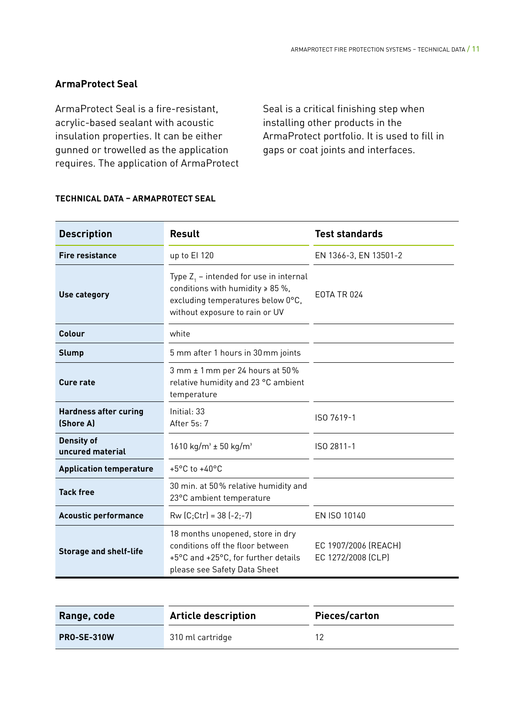### **ArmaProtect Seal**

ArmaProtect Seal is a fire-resistant, acrylic-based sealant with acoustic insulation properties. It can be either gunned or trowelled as the application requires. The application of ArmaProtect Seal is a critical finishing step when installing other products in the ArmaProtect portfolio. It is used to fill in gaps or coat joints and interfaces.

| <b>Description</b>                        | <b>Result</b>                                                                                                                                             | <b>Test standards</b>                      |
|-------------------------------------------|-----------------------------------------------------------------------------------------------------------------------------------------------------------|--------------------------------------------|
| <b>Fire resistance</b>                    | up to El 120                                                                                                                                              | EN 1366-3, EN 13501-2                      |
| Use category                              | Type $Z_1$ – intended for use in internal<br>conditions with humidity $\geq 85$ %,<br>excluding temperatures below 0°C,<br>without exposure to rain or UV | EOTA TR 024                                |
| Colour                                    | white                                                                                                                                                     |                                            |
| <b>Slump</b>                              | 5 mm after 1 hours in 30 mm joints                                                                                                                        |                                            |
| <b>Cure rate</b>                          | 3 mm ± 1 mm per 24 hours at 50%<br>relative humidity and 23 °C ambient<br>temperature                                                                     |                                            |
| <b>Hardness after curing</b><br>(Shore A) | Initial: 33<br>After 5s: 7                                                                                                                                | ISO 7619-1                                 |
| <b>Density of</b><br>uncured material     | 1610 kg/m <sup>3</sup> ± 50 kg/m <sup>3</sup>                                                                                                             | ISO 2811-1                                 |
| <b>Application temperature</b>            | $+5^{\circ}$ C to $+40^{\circ}$ C                                                                                                                         |                                            |
| <b>Tack free</b>                          | 30 min. at 50% relative humidity and<br>23°C ambient temperature                                                                                          |                                            |
| <b>Acoustic performance</b>               | $Rw$ (C;Ctr) = 38 (-2;-7)                                                                                                                                 | EN ISO 10140                               |
| <b>Storage and shelf-life</b>             | 18 months unopened, store in dry<br>conditions off the floor between<br>+5°C and +25°C, for further details<br>please see Safety Data Sheet               | EC 1907/2006 (REACH)<br>EC 1272/2008 (CLP) |

### **TECHNICAL DATA – ARMAPROTECT SEAL**

| Range, code        | <b>Article description</b> | Pieces/carton |
|--------------------|----------------------------|---------------|
| <b>PRO-SE-310W</b> | 310 ml cartridge           |               |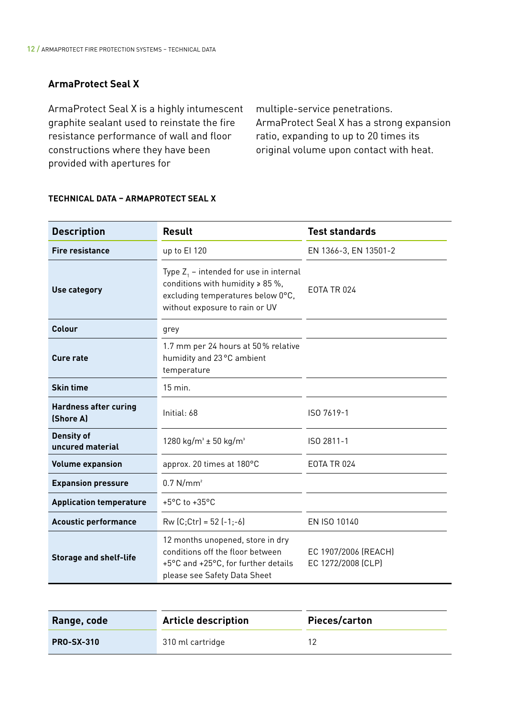### **ArmaProtect Seal X**

ArmaProtect Seal X is a highly intumescent graphite sealant used to reinstate the fire resistance performance of wall and floor constructions where they have been provided with apertures for

multiple-service penetrations. ArmaProtect Seal X has a strong expansion ratio, expanding to up to 20 times its original volume upon contact with heat.

| <b>Description</b>                        | <b>Result</b>                                                                                                                                             | <b>Test standards</b>                      |
|-------------------------------------------|-----------------------------------------------------------------------------------------------------------------------------------------------------------|--------------------------------------------|
| <b>Fire resistance</b>                    | up to El 120                                                                                                                                              | EN 1366-3, EN 13501-2                      |
| Use category                              | Type $Z_1$ – intended for use in internal<br>conditions with humidity $\geq 85$ %,<br>excluding temperatures below 0°C,<br>without exposure to rain or UV | EOTA TR 024                                |
| Colour                                    | grey                                                                                                                                                      |                                            |
| <b>Cure rate</b>                          | 1.7 mm per 24 hours at 50% relative<br>humidity and 23 °C ambient<br>temperature                                                                          |                                            |
| <b>Skin time</b>                          | $15$ min.                                                                                                                                                 |                                            |
| <b>Hardness after curing</b><br>(Shore A) | Initial: 68                                                                                                                                               | ISO 7619-1                                 |
| <b>Density of</b><br>uncured material     | 1280 kg/m <sup>3</sup> ± 50 kg/m <sup>3</sup>                                                                                                             | ISO 2811-1                                 |
| <b>Volume expansion</b>                   | approx. 20 times at 180°C                                                                                                                                 | EOTA TR 024                                |
| <b>Expansion pressure</b>                 | $0.7$ N/mm <sup>2</sup>                                                                                                                                   |                                            |
| <b>Application temperature</b>            | +5 $^{\circ}$ C to +35 $^{\circ}$ C                                                                                                                       |                                            |
| <b>Acoustic performance</b>               | $Rw$ (C;Ctr) = 52 (-1;-6)                                                                                                                                 | EN ISO 10140                               |
| <b>Storage and shelf-life</b>             | 12 months unopened, store in dry<br>conditions off the floor between<br>+5°C and +25°C, for further details<br>please see Safety Data Sheet               | EC 1907/2006 (REACH)<br>EC 1272/2008 (CLP) |

### **TECHNICAL DATA – ARMAPROTECT SEAL X**

| Range, code       | <b>Article description</b> | Pieces/carton |
|-------------------|----------------------------|---------------|
| <b>PRO-SX-310</b> | 310 ml cartridge           |               |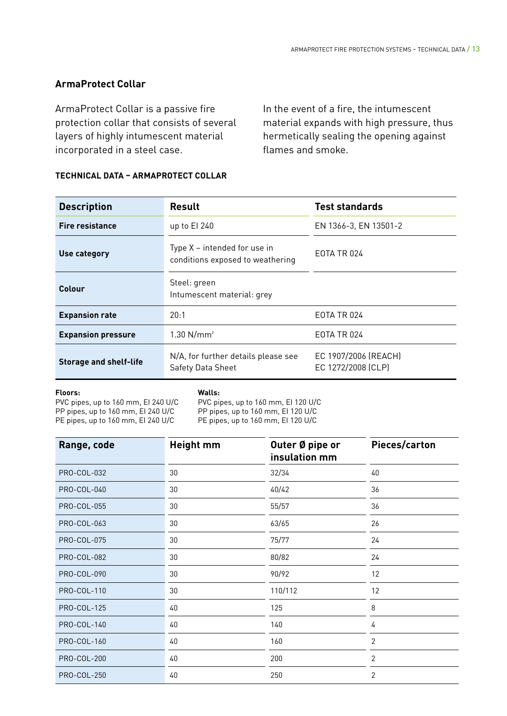### **ArmaProtect Collar**

ArmaProtect Collar is a passive fire protection collar that consists of several layers of highly intumescent material incorporated in a steel case.

In the event of a fire, the intumescent material expands with high pressure, thus hermetically sealing the opening against flames and smoke.

| <b>Description</b>            | <b>Result</b>                                                      | <b>Test standards</b>                      |  |
|-------------------------------|--------------------------------------------------------------------|--------------------------------------------|--|
| <b>Fire resistance</b>        | up to $EI$ 240                                                     | EN 1366-3, EN 13501-2                      |  |
| Use category                  | Type $X$ – intended for use in<br>conditions exposed to weathering | <b>EOTA TR 024</b>                         |  |
| Colour                        | Steel: green<br>Intumescent material: grey                         |                                            |  |
| <b>Expansion rate</b>         | 20:1                                                               | <b>EOTA TR 024</b>                         |  |
| <b>Expansion pressure</b>     | $1.30$ N/mm <sup>2</sup>                                           | EOTA TR 024                                |  |
| <b>Storage and shelf-life</b> | N/A, for further details please see<br><b>Safety Data Sheet</b>    | EC 1907/2006 (REACH)<br>EC 1272/2008 (CLP) |  |

### **TECHNICAL DATA – ARMAPROTECT COLLAR**

### **Floors:**

PVC pipes, up to 160 mm, EI 240 U/C PP pipes, up to 160 mm, EI 240 U/C PE pipes, up to 160 mm, EI 240 U/C

### **Walls:**

PVC pipes, up to 160 mm, EI 120 U/C PP pipes, up to 160 mm, EI 120 U/C PE pipes, up to 160 mm, EI 120 U/C

| Range, code        | <b>Height mm</b> | Outer Ø pipe or<br>insulation mm | Pieces/carton  |
|--------------------|------------------|----------------------------------|----------------|
| PRO-COL-032        | 30               | 32/34                            | 40             |
| PRO-COL-040        | 30               | 40/42                            | 36             |
| PRO-COL-055        | 30               | 55/57                            | 36             |
| PRO-COL-063        | 30               | 63/65                            | 26             |
| PRO-COL-075        | 30               | 75/77                            | 24             |
| <b>PRO-COL-082</b> | 30               | 80/82                            | 24             |
| PRO-COL-090        | 30               | 90/92                            | 12             |
| PRO-COL-110        | 30               | 110/112                          | 12             |
| PRO-COL-125        | 40               | 125                              | 8              |
| PRO-COL-140        | 40               | 140                              | 4              |
| PRO-COL-160        | 40               | 160                              | $\overline{2}$ |
| PRO-COL-200        | 40               | 200                              | $\mathbf{2}$   |
| PRO-COL-250        | 40               | 250                              | 2              |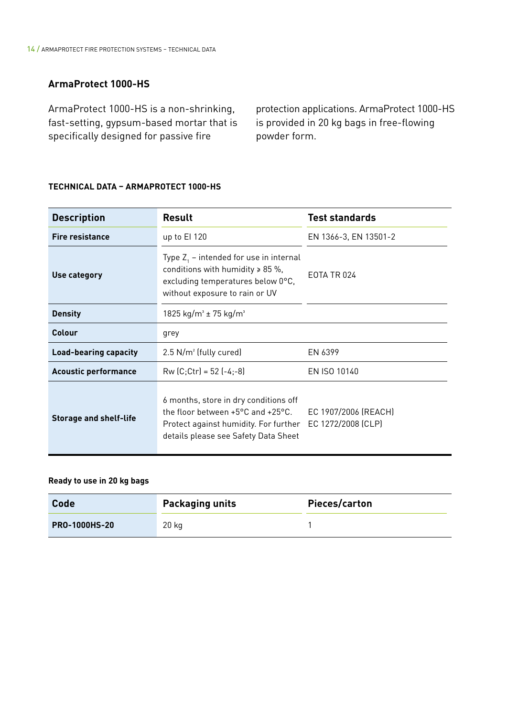### **ArmaProtect 1000-HS**

ArmaProtect 1000-HS is a non-shrinking, fast-setting, gypsum-based mortar that is specifically designed for passive fire

protection applications. ArmaProtect 1000-HS is provided in 20 kg bags in free-flowing powder form.

| <b>Description</b>                                                                                                                                                                                                                  | <b>Result</b>                                                                                                                                             | <b>Test standards</b> |
|-------------------------------------------------------------------------------------------------------------------------------------------------------------------------------------------------------------------------------------|-----------------------------------------------------------------------------------------------------------------------------------------------------------|-----------------------|
| <b>Fire resistance</b>                                                                                                                                                                                                              | up to El 120                                                                                                                                              | EN 1366-3, EN 13501-2 |
| Use category                                                                                                                                                                                                                        | Type $Z_1$ – intended for use in internal<br>conditions with humidity $\geq 85$ %,<br>excluding temperatures below 0°C,<br>without exposure to rain or UV | <b>EOTA TR 024</b>    |
| <b>Density</b>                                                                                                                                                                                                                      | 1825 kg/m <sup>3</sup> ± 75 kg/m <sup>3</sup>                                                                                                             |                       |
| Colour                                                                                                                                                                                                                              | grey                                                                                                                                                      |                       |
| $2.5$ N/m <sup>2</sup> (fully cured)<br><b>Load-bearing capacity</b>                                                                                                                                                                |                                                                                                                                                           | EN 6399               |
| $Rw$ (C:Ctr) = 52 (-4:-8)<br><b>Acoustic performance</b>                                                                                                                                                                            |                                                                                                                                                           | EN ISO 10140          |
| 6 months, store in dry conditions off<br>the floor between $+5^{\circ}$ C and $+25^{\circ}$ C.<br><b>Storage and shelf-life</b><br>Protect against humidity. For further EC 1272/2008 (CLP)<br>details please see Safety Data Sheet |                                                                                                                                                           | EC 1907/2006 (REACH)  |

### **TECHNICAL DATA – ARMAPROTECT 1000-HS**

### **Ready to use in 20 kg bags**

| Code                 | <b>Packaging units</b> | Pieces/carton |  |
|----------------------|------------------------|---------------|--|
| <b>PRO-1000HS-20</b> | 20 kg                  |               |  |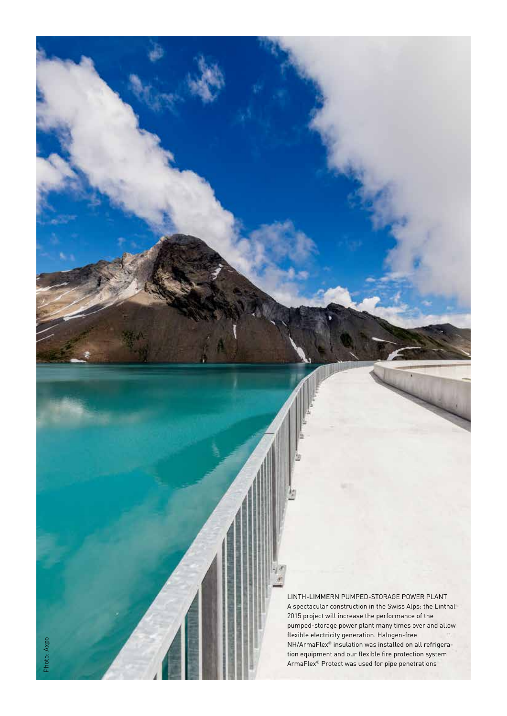LINTH-LIMMERN PUMPED-STORAGE POWER PLANT A spectacular construction in the Swiss Alps: the Linthal 2015 project will increase the performance of the pumped-storage power plant many times over and allow flexible electricity generation. Halogen-free NH/ArmaFlex ® insulation was installed on all refrigera tion equipment and our flexible fire protection system ArmaFlex ® Protect was used for pipe penetrations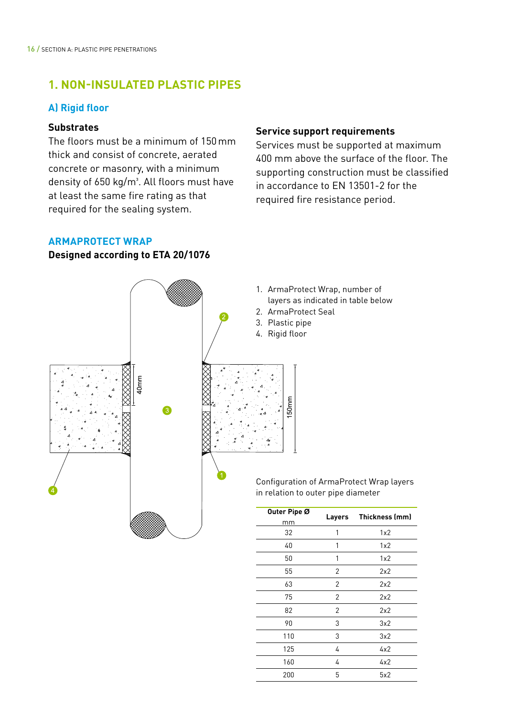### **1. NON-INSULATED PLASTIC PIPES**

### **A) Rigid floor**

### **Substrates**

The floors must be a minimum of 150mm thick and consist of concrete, aerated concrete or masonry, with a minimum density of 650 kg/m<sup>3</sup>. All floors must have at least the same fire rating as that required for the sealing system.

### **Service support requirements**

Services must be supported at maximum 400 mm above the surface of the floor. The supporting construction must be classified in accordance to EN 13501-2 for the required fire resistance period.

### **ARMAPROTECT WRAP**

### **Designed according to ETA 20/1076**



1. ArmaProtect Wrap, number of layers as indicated in table below

2. ArmaProtect Seal

 $50mm$ 

- 3. Plastic pipe
- 4. Rigid floor

Configuration of ArmaProtect Wrap layers in relation to outer pipe diameter

| Outer Pipe Ø<br>mm |   | Layers Thickness (mm) |
|--------------------|---|-----------------------|
| 32                 | 1 | 1x2                   |
| 40                 | 1 | 1x2                   |
| 50                 | 1 | 1x2                   |
| 55                 | 2 | 2x2                   |
| 63                 | 2 | 2x2                   |
| 75                 | 2 | 2x2                   |
| 82                 | 2 | 2x2                   |
| 90                 | 3 | 3x2                   |
| 110                | 3 | 3x2                   |
| 125                | 4 | 4x2                   |
| 160                | 4 | 4x2                   |
| 200                | 5 | 5x2                   |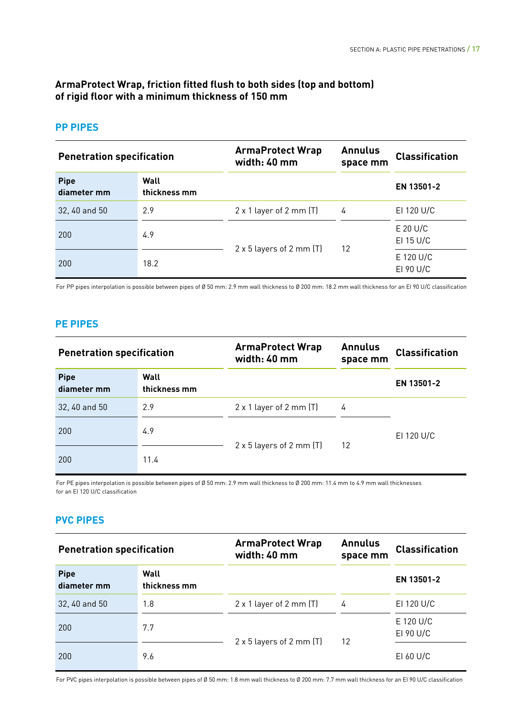### **ArmaProtect Wrap, friction fitted flush to both sides (top and bottom) of rigid floor with a minimum thickness of 150 mm**

### **PP PIPES**

| <b>Penetration specification</b> |                      | <b>ArmaProtect Wrap</b><br>width: 40 mm | <b>Annulus</b><br>space mm | <b>Classification</b>   |
|----------------------------------|----------------------|-----------------------------------------|----------------------------|-------------------------|
| <b>Pipe</b><br>diameter mm       | Wall<br>thickness mm |                                         |                            | EN 13501-2              |
| 32, 40 and 50                    | 2.9                  | $2 \times 1$ layer of 2 mm $(T)$        | 4                          | EI 120 U/C              |
| 200                              | 4.9                  |                                         | 12                         | $E$ 20 U/C<br>EI 15 U/C |
| 200                              | 18.2                 | $2 \times 5$ layers of 2 mm $(T)$       |                            | E 120 U/C<br>EI 90 U/C  |

For PP pipes interpolation is possible between pipes of Ø 50 mm: 2.9 mm wall thickness to Ø 200 mm: 18.2 mm wall thickness for an EI 90 U/C classification

### **PE PIPES**

| <b>Penetration specification</b> |                      | <b>ArmaProtect Wrap</b><br>width: 40 mm | <b>Annulus</b><br>space mm | <b>Classification</b> |
|----------------------------------|----------------------|-----------------------------------------|----------------------------|-----------------------|
| <b>Pipe</b><br>diameter mm       | Wall<br>thickness mm |                                         |                            | EN 13501-2            |
| 32, 40 and 50                    | 2.9                  | $2 \times 1$ layer of 2 mm $(T)$        | 4                          |                       |
| 200                              | 4.9                  |                                         | 12                         | EI 120 U/C            |
| 200                              | 11.4                 | $2 \times 5$ layers of 2 mm $(T)$       |                            |                       |

For PE pipes interpolation is possible between pipes of Ø 50 mm: 2.9 mm wall thickness to Ø 200 mm: 11.4 mm to 4.9 mm wall thicknesses for an EI 120 U/C classification

### **PVC PIPES**

| <b>Penetration specification</b> |                      | <b>ArmaProtect Wrap</b><br>width: 40 mm   | <b>Annulus</b><br>space mm | <b>Classification</b>  |
|----------------------------------|----------------------|-------------------------------------------|----------------------------|------------------------|
| <b>Pipe</b><br>diameter mm       | Wall<br>thickness mm |                                           |                            | EN 13501-2             |
| 32, 40 and 50                    | 1.8                  | $2 \times 1$ layer of 2 mm $(T)$          | 4                          | EI 120 U/C             |
| 200                              | 7.7                  |                                           | 12                         | E 120 U/C<br>EI 90 U/C |
| 200                              | 9.6                  | $2 \times 5$ layers of $2 \text{ mm}$ (T) |                            | EI 60 U/C              |

For PVC pipes interpolation is possible between pipes of Ø 50 mm: 1.8 mm wall thickness to Ø 200 mm: 7.7 mm wall thickness for an EI 90 U/C classification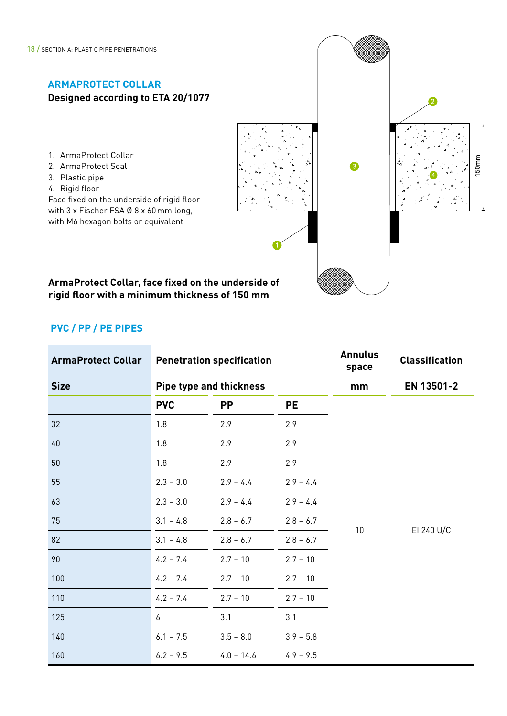### **ARMAPROTECT COLLAR Designed according to ETA 20/1077**

- 1. ArmaProtect Collar
- 2. ArmaProtect Seal
- 3. Plastic pipe
- 4. Rigid floor

Face fixed on the underside of rigid floor with 3 x Fischer FSA Ø 8 x 60mm long, with M6 hexagon bolts or equivalent

# 150mm

### **ArmaProtect Collar, face fixed on the underside of rigid floor with a minimum thickness of 150 mm**

### **PVC / PP / PE PIPES**

| <b>ArmaProtect Collar</b> | <b>Penetration specification</b> |                                |             | <b>Annulus</b><br>space | <b>Classification</b> |
|---------------------------|----------------------------------|--------------------------------|-------------|-------------------------|-----------------------|
| <b>Size</b>               |                                  | <b>Pipe type and thickness</b> |             | mm                      | EN 13501-2            |
|                           | <b>PVC</b>                       | <b>PP</b>                      | <b>PE</b>   |                         |                       |
| 32                        | 1.8                              | 2.9                            | 2.9         |                         | EI 240 U/C            |
| 40                        | 1.8                              | 2.9                            | 2.9         |                         |                       |
| 50                        | 1.8                              | 2.9                            | 2.9         |                         |                       |
| 55                        | $2.3 - 3.0$                      | $2.9 - 4.4$                    | $2.9 - 4.4$ |                         |                       |
| 63                        | $2.3 - 3.0$                      | $2.9 - 4.4$                    | $2.9 - 4.4$ |                         |                       |
| 75                        | $3.1 - 4.8$                      | $2.8 - 6.7$                    | $2.8 - 6.7$ | 10                      |                       |
| 82                        | $3.1 - 4.8$                      | $2.8 - 6.7$                    | $2.8 - 6.7$ |                         |                       |
| 90                        | $4.2 - 7.4$                      | $2.7 - 10$                     | $2.7 - 10$  |                         |                       |
| 100                       | $4.2 - 7.4$                      | $2.7 - 10$                     | $2.7 - 10$  |                         |                       |
| 110                       | $4.2 - 7.4$                      | $2.7 - 10$                     | $2.7 - 10$  |                         |                       |
| 125                       | 6                                | 3.1                            | 3.1         |                         |                       |
| 140                       | $6.1 - 7.5$                      | $3.5 - 8.0$                    | $3.9 - 5.8$ |                         |                       |
| 160                       | $6.2 - 9.5$                      | $4.0 - 14.6$                   | $4.9 - 9.5$ |                         |                       |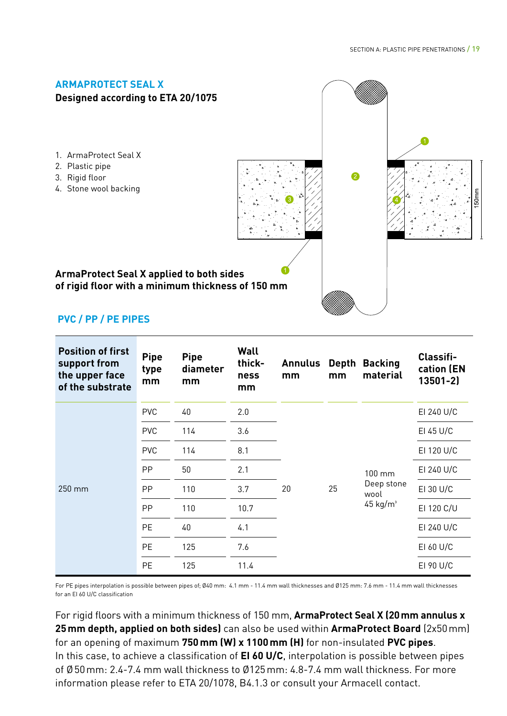

### **PVC / PP / PE PIPES**

| <b>Position of first</b><br>support from<br>the upper face<br>of the substrate | <b>Pipe</b><br>type<br>mm | <b>Pipe</b><br>diameter<br>mm | Wall<br>thick-<br>ness<br>mm | <b>Annulus</b><br>mm | <b>Depth</b><br>mm                                 | <b>Backing</b><br>material | Classifi-<br>cation (EN<br>$13501 - 2$ |
|--------------------------------------------------------------------------------|---------------------------|-------------------------------|------------------------------|----------------------|----------------------------------------------------|----------------------------|----------------------------------------|
|                                                                                | <b>PVC</b>                | 40                            | 2.0                          |                      |                                                    |                            | EI 240 U/C                             |
|                                                                                | <b>PVC</b>                | 114                           | 3.6                          |                      |                                                    |                            | EI 45 U/C                              |
|                                                                                | <b>PVC</b>                | 114                           | 8.1                          |                      |                                                    |                            | EI 120 U/C                             |
|                                                                                | PP                        | 50                            | 2.1                          |                      |                                                    | 100 mm                     | EI 240 U/C                             |
| 250 mm                                                                         | PP                        | 110                           | 3.7                          | 20                   | Deep stone<br>25<br>wool<br>$45$ kg/m <sup>3</sup> | EI 30 U/C                  |                                        |
|                                                                                | PP                        | 110                           | 10.7                         |                      |                                                    |                            | EI 120 C/U                             |
|                                                                                | <b>PE</b>                 | 40                            | 4.1                          |                      |                                                    |                            | EI 240 U/C                             |
|                                                                                | PE                        | 125                           | 7.6                          |                      |                                                    |                            | EI 60 U/C                              |
|                                                                                | PE                        | 125                           | 11.4                         |                      |                                                    |                            | EI 90 U/C                              |

For PE pipes interpolation is possible between pipes of; Ø40 mm: 4.1 mm - 11.4 mm wall thicknesses and Ø125 mm: 7.6 mm - 11.4 mm wall thicknesses for an EI 60 U/C classification

For rigid floors with a minimum thickness of 150 mm, **ArmaProtect Seal X (20mm annulus x 25mm depth, applied on both sides)** can also be used within **ArmaProtect Board** (2x50mm) for an opening of maximum **750mm (W) x 1100mm (H)** for non-insulated **PVC pipes**. In this case, to achieve a classification of **EI 60 U/C**, interpolation is possible between pipes of Ø50mm: 2.4-7.4 mm wall thickness to Ø125mm: 4.8-7.4 mm wall thickness. For more information please refer to ETA 20/1078, B4.1.3 or consult your Armacell contact.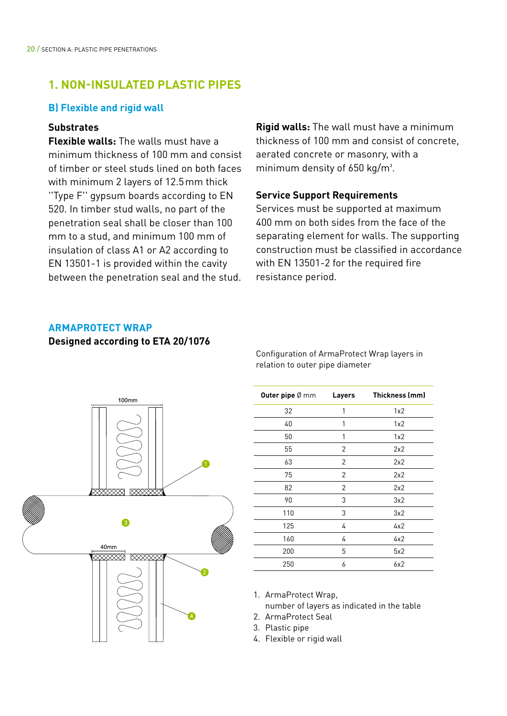### **1. NON-INSULATED PLASTIC PIPES**

### **B) Flexible and rigid wall**

### **Substrates**

**Flexible walls:** The walls must have a minimum thickness of 100 mm and consist of timber or steel studs lined on both faces with minimum 2 layers of 12.5mm thick ''Type F'' gypsum boards according to EN 520. In timber stud walls, no part of the penetration seal shall be closer than 100 mm to a stud, and minimum 100 mm of insulation of class A1 or A2 according to EN 13501-1 is provided within the cavity between the penetration seal and the stud.

**Rigid walls:** The wall must have a minimum thickness of 100 mm and consist of concrete, aerated concrete or masonry, with a minimum density of 650 kg/m<sup>3</sup>.

### **Service Support Requirements**

Services must be supported at maximum 400 mm on both sides from the face of the separating element for walls. The supporting construction must be classified in accordance with EN 13501-2 for the required fire resistance period.

### **ARMAPROTECT WRAP**

### **Designed according to ETA 20/1076**



Configuration of ArmaProtect Wrap layers in relation to outer pipe diameter

| Outer pipe Ø mm |                | Layers Thickness (mm) |
|-----------------|----------------|-----------------------|
| 32              | 1              | 1x2                   |
| 40              | 1              | 1x2                   |
| 50              | 1              | 1x2                   |
| 55              | $\overline{2}$ | 2x2                   |
| 63              | 2              | 2x2                   |
| 75              | 2              | 2x2                   |
| 82              | 2              | 2x2                   |
| 90              | 3              | 3x2                   |
| 110             | 3              | 3x2                   |
| 125             | 4              | 4x2                   |
| 160             | 4              | 4x2                   |
| 200             | 5              | 5x2                   |
| 250             | 6              | 6x2                   |
|                 |                |                       |

1. ArmaProtect Wrap,

number of layers as indicated in the table

2. ArmaProtect Seal

3. Plastic pipe

4. Flexible or rigid wall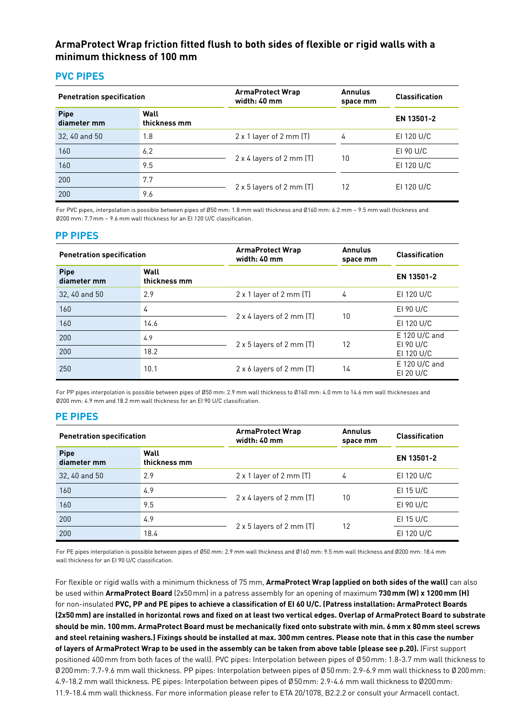### **ArmaProtect Wrap friction fitted flush to both sides of flexible or rigid walls with a minimum thickness of 100 mm**

### **PVC PIPES**

| <b>Penetration specification</b> |                      | <b>ArmaProtect Wrap</b><br>width: 40 mm | <b>Annulus</b><br>space mm | <b>Classification</b> |
|----------------------------------|----------------------|-----------------------------------------|----------------------------|-----------------------|
| <b>Pipe</b><br>diameter mm       | Wall<br>thickness mm |                                         |                            | EN 13501-2            |
| 32, 40 and 50                    | 1.8                  | 2 x 1 layer of 2 mm (T)                 | 4                          | EI 120 U/C            |
| 160                              | 6.2                  |                                         | 10                         | EI 90 U/C             |
| 160                              | 9.5                  | $2 \times 4$ layers of 2 mm (T)         |                            | EI 120 U/C            |
| 200                              | 7.7                  |                                         |                            | EI 120 U/C            |
| 200                              | 9.6                  | $2 \times 5$ layers of 2 mm $(T)$       | 12                         |                       |

For PVC pipes, interpolation is possible between pipes of Ø50 mm: 1.8 mm wall thickness and Ø160 mm: 6.2 mm – 9.5 mm wall thickness and Ø200 mm: 7.7mm – 9.6 mm wall thickness for an EI 120 U/C classification.

### **PP PIPES**

| <b>Penetration specification</b> |                      | <b>ArmaProtect Wrap</b><br>width: 40 mm | <b>Annulus</b><br>space mm | <b>Classification</b>         |
|----------------------------------|----------------------|-----------------------------------------|----------------------------|-------------------------------|
| <b>Pipe</b><br>diameter mm       | Wall<br>thickness mm |                                         |                            | EN 13501-2                    |
| 32, 40 and 50                    | 2.9                  | $2 \times 1$ layer of 2 mm $(T)$        | 4                          | EI 120 U/C                    |
| 160                              | 4                    |                                         |                            | EI 90 U/C                     |
| 160                              | 14.6                 | $2 \times 4$ layers of 2 mm (T)         | 10                         | EI 120 U/C                    |
| 200                              | 4.9                  | $2 \times 5$ layers of 2 mm $(T)$       | 12                         | $E$ 120 U/C and<br>$E190$ U/C |
| 200                              | 18.2                 |                                         |                            | EI 120 U/C                    |
| 250<br>10.1                      |                      | $2 \times 6$ layers of 2 mm (T)         | 14                         | E 120 U/C and<br>EI 20 U/C    |

For PP pipes interpolation is possible between pipes of Ø50 mm: 2.9 mm wall thickness to Ø160 mm: 4.0 mm to 14.6 mm wall thicknesses and Ø200 mm: 4.9 mm and 18.2 mm wall thickness for an EI 90 U/C classification.

### **PE PIPES**

| <b>Penetration specification</b> |                      | <b>ArmaProtect Wrap</b><br>width: 40 mm | <b>Annulus</b><br>space mm | <b>Classification</b> |
|----------------------------------|----------------------|-----------------------------------------|----------------------------|-----------------------|
| <b>Pipe</b><br>diameter mm       | Wall<br>thickness mm |                                         |                            | EN 13501-2            |
| 32, 40 and 50                    | 2.9                  | $2 \times 1$ layer of 2 mm $(T)$        | 4                          | EI 120 U/C            |
| 160                              | 4.9                  |                                         | 10                         | EI 15 U/C             |
| 160                              | 9.5                  | $2 \times 4$ layers of 2 mm (T)         |                            | EI 90 U/C             |
| 200                              | 4.9                  |                                         | 12                         | EI 15 U/C             |
| 200                              | 18.4                 | $2 \times 5$ layers of 2 mm $(T)$       |                            | EI 120 U/C            |

For PE pipes interpolation is possible between pipes of Ø50 mm: 2.9 mm wall thickness and Ø160 mm: 9.5 mm wall thickness and Ø200 mm: 18.4 mm wall thickness for an EI 90 U/C classification.

For flexible or rigid walls with a minimum thickness of 75 mm, **ArmaProtect Wrap (applied on both sides of the wall)** can also be used within **ArmaProtect Board** (2x50mm) in a patress assembly for an opening of maximum **730mm (W) x 1200mm (H)** for non-insulated **PVC, PP and PE pipes to achieve a classification of EI 60 U/C. (Patress installation: ArmaProtect Boards (2x50mm) are installed in horizontal rows and fixed on at least two vertical edges. Overlap of ArmaProtect Board to substrate should be min. 100mm. ArmaProtect Board must be mechanically fixed onto substrate with min. 6mm x 80mm steel screws and steel retaining washers.) Fixings should be installed at max. 300mm centres. Please note that in this case the number of layers of ArmaProtect Wrap to be used in the assembly can be taken from above table (please see p.20).** (First support positioned 400mm from both faces of the wall). PVC pipes: Interpolation between pipes of Ø50mm: 1.8-3.7 mm wall thickness to Ø200mm: 7.7-9.6 mm wall thickness. PP pipes: Interpolation between pipes of Ø50mm: 2.9-6.9 mm wall thickness to Ø200mm: 4.9-18.2 mm wall thickness. PE pipes: Interpolation between pipes of Ø50mm: 2.9-4.6 mm wall thickness to Ø200mm: 11.9-18.4 mm wall thickness. For more information please refer to ETA 20/1078, B2.2.2 or consult your Armacell contact.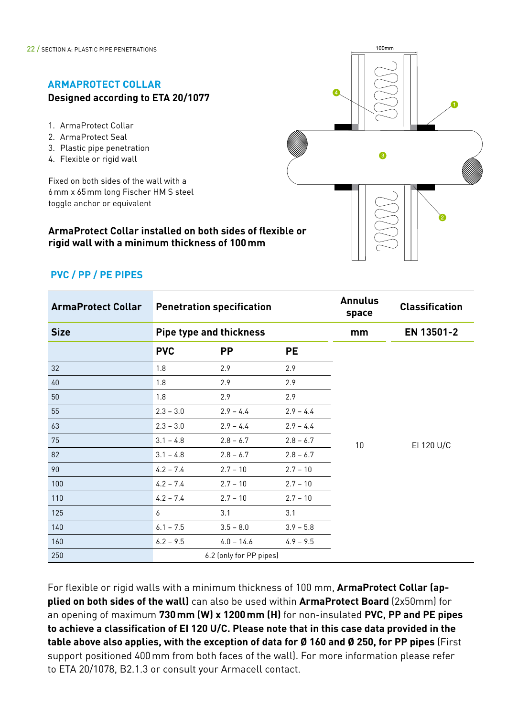### **ARMAPROTECT COLLAR**

**Designed according to ETA 20/1077**

- 1. ArmaProtect Collar
- 2. ArmaProtect Seal
- 3. Plastic pipe penetration
- 4. Flexible or rigid wall

Fixed on both sides of the wall with a 6mm x 65mm long Fischer HM S steel toggle anchor or equivalent

### **ArmaProtect Collar installed on both sides of flexible or rigid wall with a minimum thickness of 100mm**



### **PVC / PP / PE PIPES**

| <b>ArmaProtect Collar</b> | <b>Penetration specification</b> |                         |             | <b>Annulus</b><br>space | <b>Classification</b> |
|---------------------------|----------------------------------|-------------------------|-------------|-------------------------|-----------------------|
| <b>Size</b>               | <b>Pipe type and thickness</b>   |                         |             | mm                      | EN 13501-2            |
|                           | <b>PVC</b>                       | <b>PP</b>               | <b>PE</b>   |                         |                       |
| 32                        | 1.8                              | 2.9                     | 2.9         |                         |                       |
| 40                        | 1.8                              | 2.9                     | 2.9         |                         |                       |
| $50\,$                    | 1.8                              | 2.9                     | 2.9         |                         |                       |
| 55                        | $2.3 - 3.0$                      | $2.9 - 4.4$             | $2.9 - 4.4$ |                         |                       |
| 63                        | $2.3 - 3.0$                      | $2.9 - 4.4$             | $2.9 - 4.4$ |                         |                       |
| 75                        | $3.1 - 4.8$                      | $2.8 - 6.7$             | $2.8 - 6.7$ | 10                      | EI 120 U/C            |
| 82                        | $3.1 - 4.8$                      | $2.8 - 6.7$             | $2.8 - 6.7$ |                         |                       |
| 90                        | $4.2 - 7.4$                      | $2.7 - 10$              | $2.7 - 10$  |                         |                       |
| 100                       | $4.2 - 7.4$                      | $2.7 - 10$              | $2.7 - 10$  |                         |                       |
| 110                       | $4.2 - 7.4$                      | $2.7 - 10$              | $2.7 - 10$  |                         |                       |
| 125                       | 6                                | 3.1                     | 3.1         |                         |                       |
| 140                       | $6.1 - 7.5$                      | $3.5 - 8.0$             | $3.9 - 5.8$ |                         |                       |
| 160                       | $6.2 - 9.5$                      | $4.0 - 14.6$            | $4.9 - 9.5$ |                         |                       |
| 250                       |                                  | 6.2 (only for PP pipes) |             |                         |                       |

For flexible or rigid walls with a minimum thickness of 100 mm, **ArmaProtect Collar (applied on both sides of the wall)** can also be used within **ArmaProtect Board** (2x50mm) for an opening of maximum **730mm (W) x 1200mm (H)** for non-insulated **PVC, PP and PE pipes to achieve a classification of EI 120 U/C. Please note that in this case data provided in the table above also applies, with the exception of data for Ø 160 and Ø 250, for PP pipes** (First support positioned 400mm from both faces of the wall). For more information please refer to ETA 20/1078, B2.1.3 or consult your Armacell contact.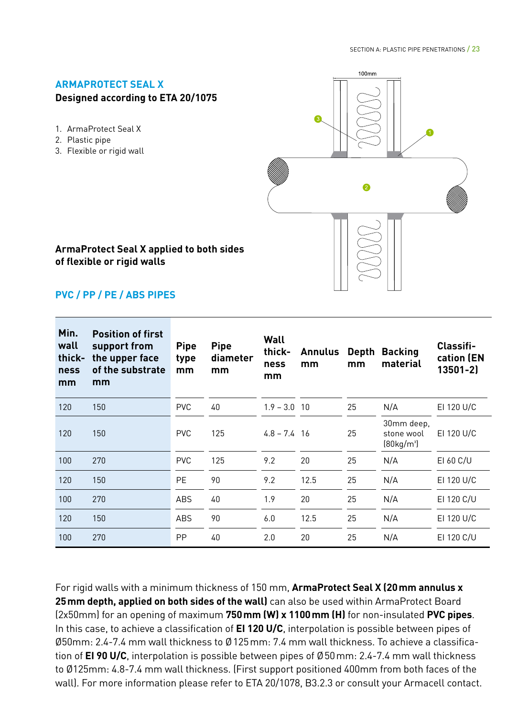### **ARMAPROTECT SEAL X**

**Designed according to ETA 20/1075**

- 1. ArmaProtect Seal X
- 2. Plastic pipe
- 3. Flexible or rigid wall



### **ArmaProtect Seal X applied to both sides of flexible or rigid walls**

### **PVC / PP / PE / ABS PIPES**

| Min.<br>wall<br>thick-<br>ness<br>mm | <b>Position of first</b><br>support from<br>the upper face<br>of the substrate<br>mm | <b>Pipe</b><br>type<br>mm | <b>Pipe</b><br>diameter<br>mm | Wall<br>thick-<br>ness<br>mm | <b>Annulus</b><br>mm | <b>Depth</b><br>mm | <b>Backing</b><br>material                      | Classifi-<br>cation (EN<br>$13501 - 2$ |
|--------------------------------------|--------------------------------------------------------------------------------------|---------------------------|-------------------------------|------------------------------|----------------------|--------------------|-------------------------------------------------|----------------------------------------|
| 120                                  | 150                                                                                  | <b>PVC</b>                | 40                            | $1.9 - 3.0$ 10               |                      | 25                 | N/A                                             | EI 120 U/C                             |
| 120                                  | 150                                                                                  | <b>PVC</b>                | 125                           | $4.8 - 7.4$ 16               |                      | 25                 | 30mm deep,<br>stone wool<br>$(80\text{kg/m}^3)$ | EI 120 U/C                             |
| 100                                  | 270                                                                                  | <b>PVC</b>                | 125                           | 9.2                          | 20                   | 25                 | N/A                                             | EI 60 C/U                              |
| 120                                  | 150                                                                                  | <b>PE</b>                 | 90                            | 9.2                          | 12.5                 | 25                 | N/A                                             | EI 120 U/C                             |
| 100                                  | 270                                                                                  | ABS                       | 40                            | 1.9                          | 20                   | 25                 | N/A                                             | EI 120 C/U                             |
| 120                                  | 150                                                                                  | ABS                       | 90                            | 6.0                          | 12.5                 | 25                 | N/A                                             | EI 120 U/C                             |
| 100                                  | 270                                                                                  | PP                        | 40                            | 2.0                          | 20                   | 25                 | N/A                                             | EI 120 C/U                             |

For rigid walls with a minimum thickness of 150 mm, **ArmaProtect Seal X (20mm annulus x 25mm depth, applied on both sides of the wall)** can also be used within ArmaProtect Board (2x50mm) for an opening of maximum **750mm (W) x 1100mm (H)** for non-insulated **PVC pipes**. In this case, to achieve a classification of **EI 120 U/C**, interpolation is possible between pipes of Ø50mm: 2.4-7.4 mm wall thickness to Ø125mm: 7.4 mm wall thickness. To achieve a classification of **EI 90 U/C**, interpolation is possible between pipes of Ø50mm: 2.4-7.4 mm wall thickness to Ø125mm: 4.8-7.4 mm wall thickness. (First support positioned 400mm from both faces of the wall). For more information please refer to ETA 20/1078, B3.2.3 or consult your Armacell contact.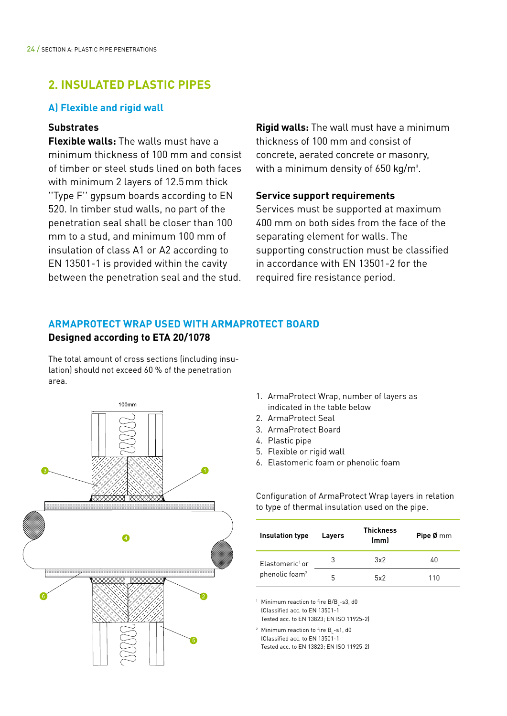### **2. INSULATED PLASTIC PIPES**

### **A) Flexible and rigid wall**

### **Substrates**

**Flexible walls:** The walls must have a minimum thickness of 100 mm and consist of timber or steel studs lined on both faces with minimum 2 layers of 12.5mm thick ''Type F'' gypsum boards according to EN 520. In timber stud walls, no part of the penetration seal shall be closer than 100 mm to a stud, and minimum 100 mm of insulation of class A1 or A2 according to EN 13501-1 is provided within the cavity between the penetration seal and the stud.

**Rigid walls:** The wall must have a minimum thickness of 100 mm and consist of concrete, aerated concrete or masonry, with a minimum density of  $650 \text{ kg/m}^3$ .

### **Service support requirements**

Services must be supported at maximum 400 mm on both sides from the face of the separating element for walls. The supporting construction must be classified in accordance with EN 13501-2 for the required fire resistance period.

### **ARMAPROTECT WRAP USED WITH ARMAPROTECT BOARD**

### **Designed according to ETA 20/1078**

The total amount of cross sections (including insulation) should not exceed 60 % of the penetration area.



- 1. ArmaProtect Wrap, number of layers as indicated in the table below
- 2. ArmaProtect Seal
- 3. ArmaProtect Board
- 4. Plastic pipe
- 5. Flexible or rigid wall
- 6. Elastomeric foam or phenolic foam

Configuration of ArmaProtect Wrap layers in relation to type of thermal insulation used on the pipe.

| <b>Insulation type</b>         | Layers | Thickness<br>(mm) | Pipe Ø mm |
|--------------------------------|--------|-------------------|-----------|
| $E$ lastomeric <sup>1</sup> or | 3      | 3x2               | 40        |
| phenolic foam <sup>2</sup>     | 5      | 5x2               | 11N       |

 $<sup>1</sup>$  Minimum reaction to fire B/B -s3, d0</sup> (Classified acc. to EN 13501-1 Tested acc. to EN 13823; EN ISO 11925-2)

<sup>2</sup> Minimum reaction to fire B. -s1, d0 (Classified acc. to EN 13501-1 Tested acc. to EN 13823; EN ISO 11925-2)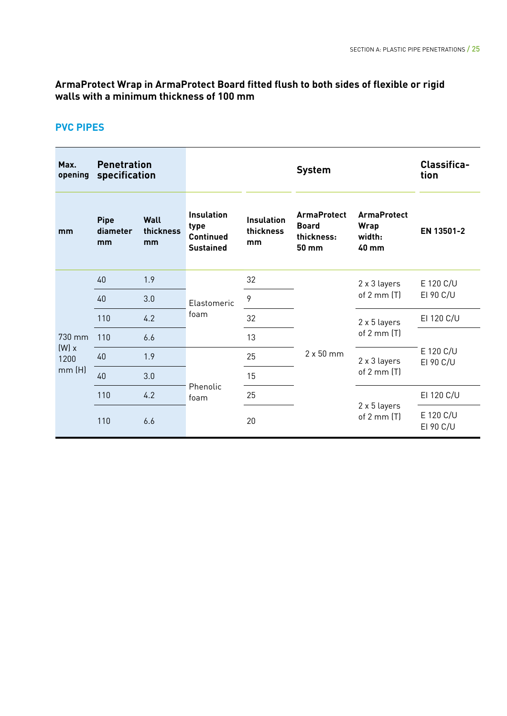### **ArmaProtect Wrap in ArmaProtect Board fitted flush to both sides of flexible or rigid walls with a minimum thickness of 100 mm**

### **PVC PIPES**

| Max.<br>opening | <b>Penetration</b><br>specification |                         |                                                                   |                                      | <b>System</b>                                             |                                                             | Classifica-<br>tion    |
|-----------------|-------------------------------------|-------------------------|-------------------------------------------------------------------|--------------------------------------|-----------------------------------------------------------|-------------------------------------------------------------|------------------------|
| mm              | <b>Pipe</b><br>diameter<br>mm       | Wall<br>thickness<br>mm | <b>Insulation</b><br>type<br><b>Continued</b><br><b>Sustained</b> | <b>Insulation</b><br>thickness<br>mm | <b>ArmaProtect</b><br><b>Board</b><br>thickness:<br>50 mm | <b>ArmaProtect</b><br><b>Wrap</b><br>width:<br><b>40 mm</b> | EN 13501-2             |
|                 | 40                                  | 1.9                     |                                                                   | 32                                   |                                                           | 2 x 3 layers                                                | E 120 C/U              |
|                 | 40                                  | 3.0                     | Elastomeric<br>foam                                               | 9                                    |                                                           | of $2 \text{ mm} (T)$                                       | EI 90 C/U              |
|                 | 110                                 | 4.2                     |                                                                   | 32                                   |                                                           | 2 x 5 layers                                                | EI 120 C/U             |
| 730 mm          | 110                                 | 6.6                     |                                                                   | 13                                   |                                                           | of $2 \text{ mm} (T)$                                       |                        |
| $(W)$ x<br>1200 | 40                                  | 1.9                     |                                                                   | 25                                   | $2 \times 50$ mm                                          | 2 x 3 layers                                                | E 120 C/U<br>EI 90 C/U |
| mm(H)           | 40                                  | 3.0                     |                                                                   | 15                                   |                                                           | of $2 \text{ mm} (T)$                                       |                        |
|                 | 110                                 | 4.2                     | Phenolic<br>foam                                                  | 25                                   |                                                           |                                                             | EI 120 C/U             |
|                 | 110                                 | 6.6                     |                                                                   | 20                                   |                                                           | 2 x 5 layers<br>of $2 \text{ mm}$ (T)                       | E 120 C/U<br>EI 90 C/U |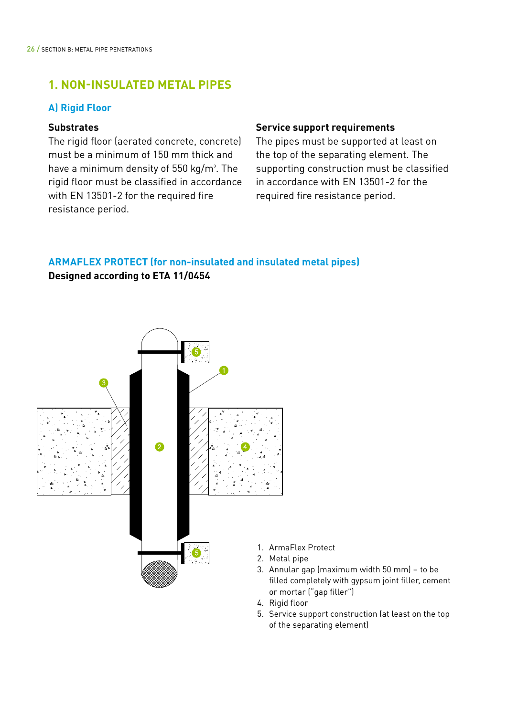### **1. NON-INSULATED METAL PIPES**

### **A) Rigid Floor**

### **Substrates**

The rigid floor (aerated concrete, concrete) must be a minimum of 150 mm thick and have a minimum density of  $550 \text{ kg/m}^3$ . The rigid floor must be classified in accordance with EN 13501-2 for the required fire resistance period.

### **Service support requirements**

The pipes must be supported at least on the top of the separating element. The supporting construction must be classified in accordance with EN 13501-2 for the required fire resistance period.

### **ARMAFLEX PROTECT (for non-insulated and insulated metal pipes) Designed according to ETA 11/0454**



- 1. ArmaFlex Protect
- 2. Metal pipe
- 3. Annular gap (maximum width 50 mm) to be filled completely with gypsum joint filler, cement or mortar ("gap filler")
- 4. Rigid floor
- 5. Service support construction (at least on the top of the separating element)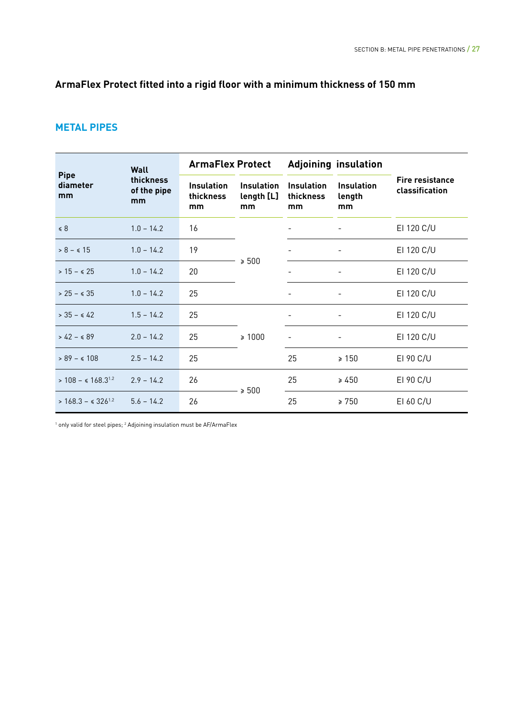### **ArmaFlex Protect fitted into a rigid floor with a minimum thickness of 150 mm**

### **METAL PIPES**

|                               | <b>Wall</b><br>thickness<br>of the pipe<br>mm | <b>ArmaFlex Protect</b>              |                                       |                                      | <b>Adjoining insulation</b>       |                                          |
|-------------------------------|-----------------------------------------------|--------------------------------------|---------------------------------------|--------------------------------------|-----------------------------------|------------------------------------------|
| <b>Pipe</b><br>diameter<br>mm |                                               | <b>Insulation</b><br>thickness<br>mm | <b>Insulation</b><br>length [L]<br>mm | <b>Insulation</b><br>thickness<br>mm | <b>Insulation</b><br>length<br>mm | <b>Fire resistance</b><br>classification |
| $\leq 8$                      | $1.0 - 14.2$                                  | 16                                   |                                       |                                      |                                   | EI 120 C/U                               |
| $> 8 - 15$                    | $1.0 - 14.2$                                  | 19                                   |                                       |                                      |                                   | EI 120 C/U                               |
| $> 15 - 15 \leq 25$           | $1.0 - 14.2$                                  | 20                                   | $\geqslant 500$                       |                                      |                                   | EI 120 C/U                               |
| $> 25 - 15$                   | $1.0 - 14.2$                                  | 25                                   |                                       | $\overline{\phantom{a}}$             | $\overline{\phantom{a}}$          | EI 120 C/U                               |
| $> 35 - 642$                  | $1.5 - 14.2$                                  | 25                                   |                                       |                                      |                                   | EI 120 C/U                               |
| $> 42 - $89$                  | $2.0 - 14.2$                                  | 25                                   | $\geq 1000$                           |                                      |                                   | EI 120 C/U                               |
| $> 89 - 108$                  | $2.5 - 14.2$                                  | 25                                   |                                       | 25                                   | $\geq 150$                        | EI 90 C/U                                |
| $> 108 - \le 168.3^{1.2}$     | $2.9 - 14.2$                                  | 26                                   |                                       | 25                                   | $\geq 450$                        | EI 90 C/U                                |
| $> 168.3 - $326^{1.2}$        | $5.6 - 14.2$                                  | 26                                   | $\geqslant 500$                       | 25                                   | $\geq 750$                        | EI 60 C/U                                |

<sup>1</sup> only valid for steel pipes; <sup>2</sup> Adjoining insulation must be AF/ArmaFlex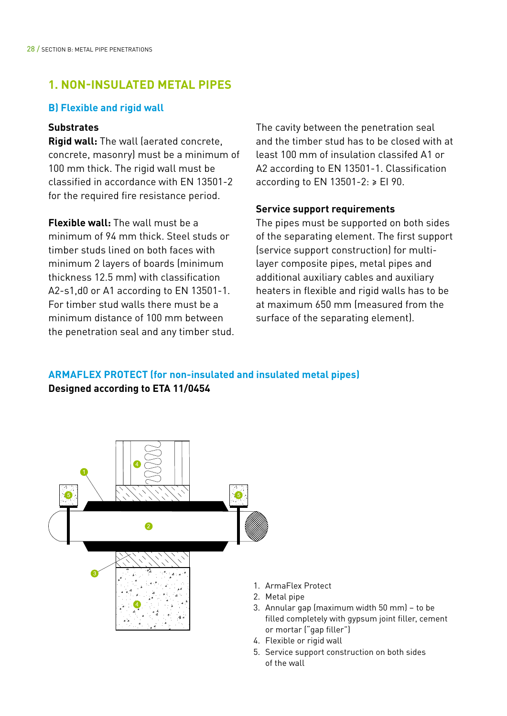### **1. NON-INSULATED METAL PIPES**

### **B) Flexible and rigid wall**

### **Substrates**

**Rigid wall:** The wall (aerated concrete, concrete, masonry) must be a minimum of 100 mm thick. The rigid wall must be classified in accordance with EN 13501-2 for the required fire resistance period.

**Flexible wall:** The wall must be a minimum of 94 mm thick. Steel studs or timber studs lined on both faces with minimum 2 layers of boards (minimum thickness 12.5 mm) with classification A2-s1,d0 or A1 according to EN 13501-1. For timber stud walls there must be a minimum distance of 100 mm between the penetration seal and any timber stud. The cavity between the penetration seal and the timber stud has to be closed with at least 100 mm of insulation classifed A1 or A2 according to EN 13501-1. Classification according to EN 13501-2:  $\ge$  El 90.

### **Service support requirements**

The pipes must be supported on both sides of the separating element. The first support (service support construction) for multilayer composite pipes, metal pipes and additional auxiliary cables and auxiliary heaters in flexible and rigid walls has to be at maximum 650 mm (measured from the surface of the separating element).

### **ARMAFLEX PROTECT (for non-insulated and insulated metal pipes) Designed according to ETA 11/0454**



5. Service support construction on both sides of the wall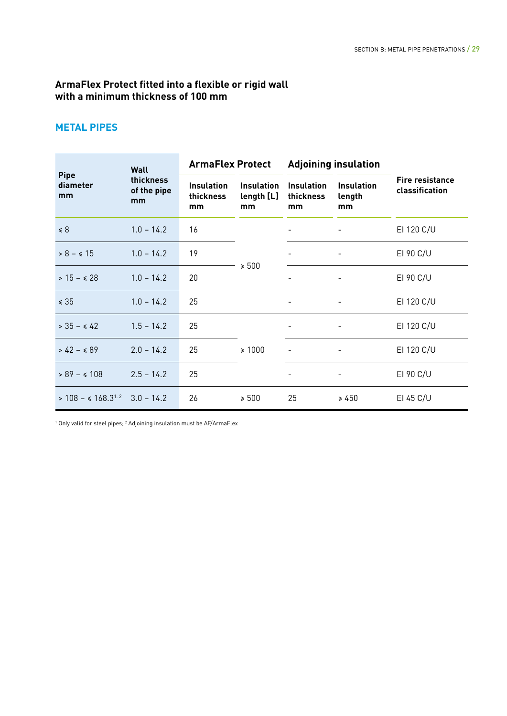### **ArmaFlex Protect fitted into a flexible or rigid wall with a minimum thickness of 100 mm**

### **METAL PIPES**

|                                                  | <b>Wall</b>                    | <b>ArmaFlex Protect</b>              |                                       | <b>Adjoining insulation</b>          |                                   |                                          |
|--------------------------------------------------|--------------------------------|--------------------------------------|---------------------------------------|--------------------------------------|-----------------------------------|------------------------------------------|
| Pipe<br>diameter<br>mm                           | thickness<br>of the pipe<br>mm | <b>Insulation</b><br>thickness<br>mm | <b>Insulation</b><br>length [L]<br>mm | <b>Insulation</b><br>thickness<br>mm | <b>Insulation</b><br>length<br>mm | <b>Fire resistance</b><br>classification |
| $\leq 8$                                         | $1.0 - 14.2$                   | 16                                   |                                       | $\overline{\phantom{a}}$             | $\qquad \qquad -$                 | EI 120 C/U                               |
| $> 8 - 15$                                       | $1.0 - 14.2$                   | 19                                   | $\geqslant 500$                       |                                      | $\overline{\phantom{a}}$          | EI 90 C/U                                |
| $> 15 - $28$                                     | $1.0 - 14.2$                   | 20                                   |                                       |                                      | $\overline{\phantom{a}}$          | EI 90 C/U                                |
| $\leq 35$                                        | $1.0 - 14.2$                   | 25                                   |                                       |                                      | $\overline{\phantom{a}}$          | EI 120 C/U                               |
| $> 35 - 642$                                     | $1.5 - 14.2$                   | 25                                   |                                       | $\overline{\phantom{a}}$             | $\overline{\phantom{a}}$          | EI 120 C/U                               |
| $> 42 - $89$                                     | $2.0 - 14.2$                   | 25                                   | $\geqslant$ 1000                      |                                      | $\overline{\phantom{a}}$          | EI 120 C/U                               |
| $> 89 - 108$                                     | $2.5 - 14.2$                   | 25                                   |                                       | $\overline{\phantom{a}}$             | $\overline{\phantom{a}}$          | EI 90 C/U                                |
| $>$ 108 – $\leq$ 168.3 <sup>1.2</sup> 3.0 – 14.2 |                                | 26                                   | $\geqslant 500$                       | 25                                   | $\geq 450$                        | EI 45 C/U                                |

<sup>1</sup> Only valid for steel pipes; <sup>2</sup> Adjoining insulation must be AF/ArmaFlex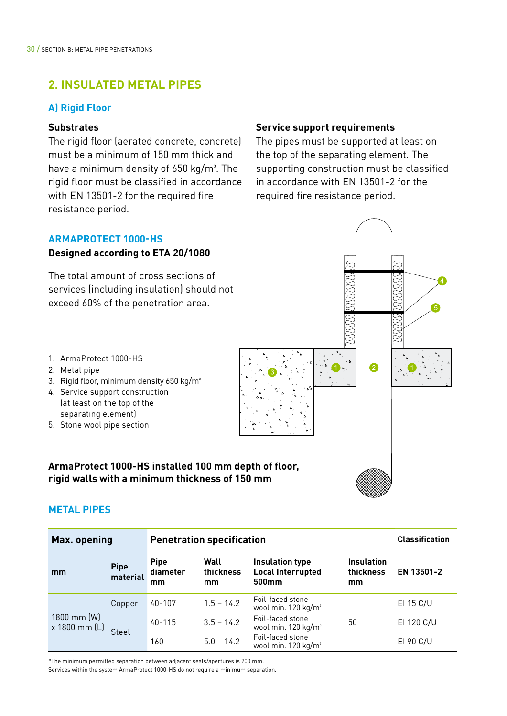### **2. INSULATED METAL PIPES**

### **A) Rigid Floor**

### **Substrates**

The rigid floor (aerated concrete, concrete) must be a minimum of 150 mm thick and have a minimum density of  $650 \text{ kg/m}^3$ . The rigid floor must be classified in accordance with EN 13501-2 for the required fire resistance period.

### **Service support requirements**

The pipes must be supported at least on the top of the separating element. The supporting construction must be classified in accordance with EN 13501-2 for the required fire resistance period.

### **ARMAPROTECT 1000-HS**

**Designed according to ETA 20/1080**

The total amount of cross sections of services (including insulation) should not exceed 60% of the penetration area.

- 1. ArmaProtect 1000-HS
- 2. Metal pipe
- 3. Rigid floor, minimum density 650 kg/m<sup>3</sup>
- 4. Service support construction (at least on the top of the separating element)
- 5. Stone wool pipe section

# **ArmaProtect 1000-HS installed 100 mm depth of floor,**

### **rigid walls with a minimum thickness of 150 mm**

### **METAL PIPES**

| Max. opening                 |                         | <b>Penetration specification</b> |                         | <b>Classification</b>                                       |                                      |            |
|------------------------------|-------------------------|----------------------------------|-------------------------|-------------------------------------------------------------|--------------------------------------|------------|
| mm                           | <b>Pipe</b><br>material | <b>Pipe</b><br>diameter<br>mm    | Wall<br>thickness<br>mm | <b>Insulation type</b><br><b>Local Interrupted</b><br>500mm | <b>Insulation</b><br>thickness<br>mm | EN 13501-2 |
|                              | Copper                  | 40-107                           | $1.5 - 14.2$            | Foil-faced stone<br>wool min. 120 kg/m <sup>3</sup>         |                                      | EI 15 C/U  |
| 1800 mm (W)<br>x 1800 mm (L) | Steel                   | 40-115                           | $3.5 - 14.2$            | Foil-faced stone<br>wool min. 120 kg/m <sup>3</sup>         | 50                                   | EI 120 C/U |
|                              |                         | 160                              | $5.0 - 14.2$            | Foil-faced stone<br>wool min. $120 \text{ kg/m}^3$          |                                      | EI 90 C/U  |

\*The minimum permitted separation between adjacent seals/apertures is 200 mm.

Services within the system ArmaProtect 1000-HS do not require a minimum separation.

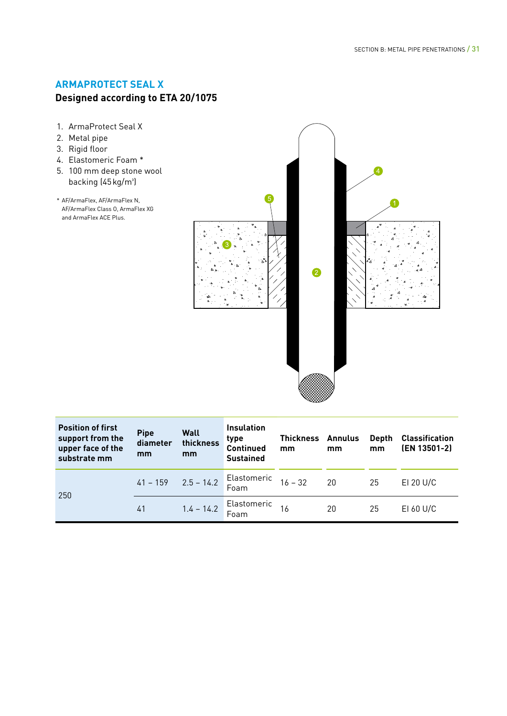### **ARMAPROTECT SEAL X**

### **Designed according to ETA 20/1075**



| <b>Position of first</b><br>support from the<br>upper face of the<br>substrate mm | <b>Pipe</b><br>diameter<br>mm | Wall<br>thickness<br>mm | <b>Insulation</b><br>type<br><b>Continued</b><br><b>Sustained</b> | <b>Thickness</b><br>mm | <b>Annulus</b><br>mm | <b>Depth</b><br>mm | <b>Classification</b><br>(EN 13501-2) |
|-----------------------------------------------------------------------------------|-------------------------------|-------------------------|-------------------------------------------------------------------|------------------------|----------------------|--------------------|---------------------------------------|
|                                                                                   | $41 - 159$ 2.5 - 14.2         |                         | Elastomeric<br>Foam                                               | $16 - 32$              | 20                   | 25                 | EI 20 U/C                             |
| 250                                                                               | 41                            | $1.4 - 14.2$            | Elastomeric<br>Foam                                               |                        | 20                   | 25                 | EI 60 U/C                             |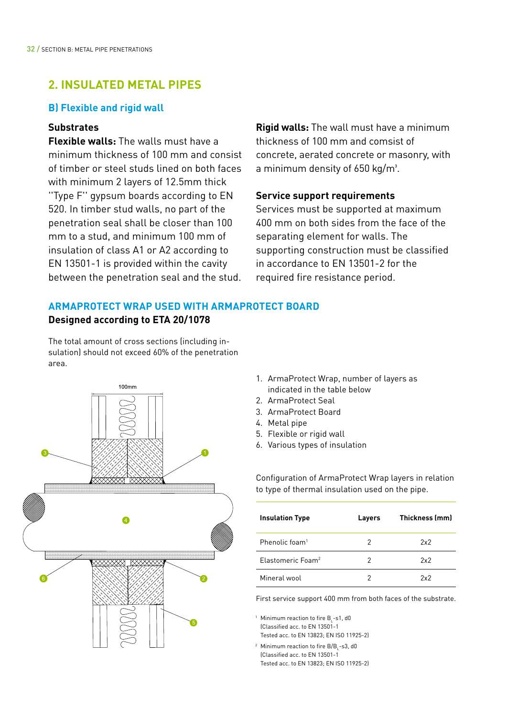### **2. INSULATED METAL PIPES**

### **B) Flexible and rigid wall**

### **Substrates**

**Flexible walls:** The walls must have a minimum thickness of 100 mm and consist of timber or steel studs lined on both faces with minimum 2 layers of 12.5mm thick ''Type F'' gypsum boards according to EN 520. In timber stud walls, no part of the penetration seal shall be closer than 100 mm to a stud, and minimum 100 mm of insulation of class A1 or A2 according to EN 13501-1 is provided within the cavity between the penetration seal and the stud. **Rigid walls:** The wall must have a minimum thickness of 100 mm and comsist of concrete, aerated concrete or masonry, with a minimum density of  $650 \text{ kg/m}^3$ .

### **Service support requirements**

Services must be supported at maximum 400 mm on both sides from the face of the separating element for walls. The supporting construction must be classified in accordance to EN 13501-2 for the required fire resistance period.

### **ARMAPROTECT WRAP USED WITH ARMAPROTECT BOARD**

**Designed according to ETA 20/1078**

The total amount of cross sections (including insulation) should not exceed 60% of the penetration area.



- 1. ArmaProtect Wrap, number of layers as indicated in the table below
- 2. ArmaProtect Seal
- 3. ArmaProtect Board
- 4. Metal pipe
- 5. Flexible or rigid wall
- 6. Various types of insulation

Configuration of ArmaProtect Wrap layers in relation to type of thermal insulation used on the pipe.

| <b>Insulation Type</b>        | Layers | Thickness (mm) |
|-------------------------------|--------|----------------|
| Phenolic foam <sup>1</sup>    | 2      | 2x2            |
| Flastomeric Foam <sup>2</sup> | 2      | 2x2            |
| Mineral wool                  | 2      | 2x2            |

First service support 400 mm from both faces of the substrate.

 $1$  Minimum reaction to fire B, -s1, d0 (Classified acc. to EN 13501-1 Tested acc. to EN 13823; EN ISO 11925-2)

<sup>2</sup> Minimum reaction to fire  $B/B$ <sub>1</sub>-s3, d0 (Classified acc. to EN 13501-1 Tested acc. to EN 13823; EN ISO 11925-2)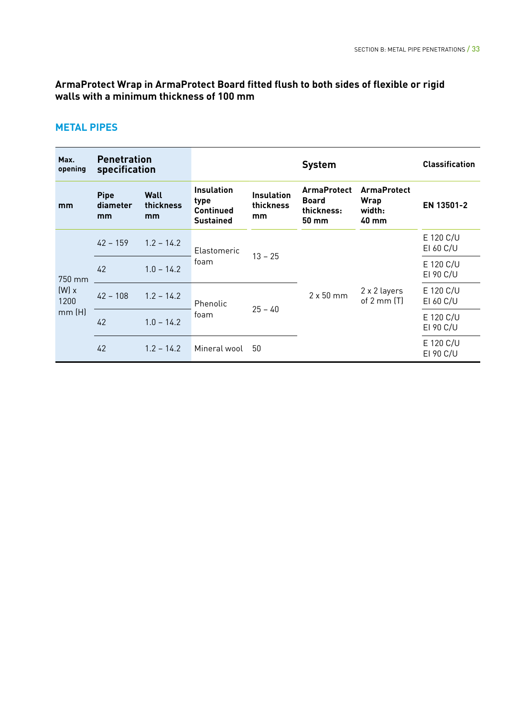### **ArmaProtect Wrap in ArmaProtect Board fitted flush to both sides of flexible or rigid walls with a minimum thickness of 100 mm**

### **METAL PIPES**

| Max.<br>opening | <b>Penetration</b><br>specification |                         |                                                                   |                                      | <b>System</b>                                             |                                                      | <b>Classification</b>  |
|-----------------|-------------------------------------|-------------------------|-------------------------------------------------------------------|--------------------------------------|-----------------------------------------------------------|------------------------------------------------------|------------------------|
| mm              | <b>Pipe</b><br>diameter<br>mm       | Wall<br>thickness<br>mm | <b>Insulation</b><br>type<br><b>Continued</b><br><b>Sustained</b> | <b>Insulation</b><br>thickness<br>mm | <b>ArmaProtect</b><br><b>Board</b><br>thickness:<br>50 mm | <b>ArmaProtect</b><br><b>Wrap</b><br>width:<br>40 mm | EN 13501-2             |
| 750 mm          | $42 - 159$                          | $1.2 - 14.2$            | Elastomeric                                                       | $13 - 25$                            | $2 \times 50$ mm                                          | 2 x 2 layers<br>of $2$ mm $(T)$                      | E 120 C/U<br>EI 60 C/U |
|                 | $42 \,$                             | $1.0 - 14.2$            | foam                                                              |                                      |                                                           |                                                      | E 120 C/U<br>EI 90 C/U |
| $(W)$ x<br>1200 | $42 - 108$                          | $1.2 - 14.2$            | Phenolic                                                          | $25 - 40$                            |                                                           |                                                      | E 120 C/U<br>EI 60 C/U |
| mm(H)           | 42                                  | $1.0 - 14.2$            | foam                                                              |                                      |                                                           |                                                      | E 120 C/U<br>EI 90 C/U |
|                 | 42                                  | $1.2 - 14.2$            | Mineral wool                                                      | 50                                   |                                                           |                                                      | E 120 C/U<br>EI 90 C/U |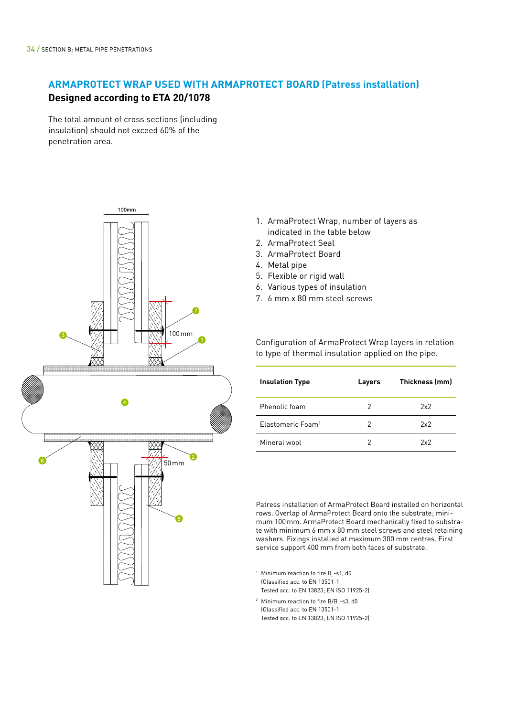### **ARMAPROTECT WRAP USED WITH ARMAPROTECT BOARD (Patress installation) Designed according to ETA 20/1078**

The total amount of cross sections (including insulation) should not exceed 60% of the penetration area.



- 1. ArmaProtect Wrap, number of layers as indicated in the table below
- 2. ArmaProtect Seal
- 3. ArmaProtect Board
- 4. Metal pipe
- 5. Flexible or rigid wall
- 6. Various types of insulation
- 7. 6 mm x 80 mm steel screws

Configuration of ArmaProtect Wrap layers in relation to type of thermal insulation applied on the pipe.

| <b>Insulation Type</b>        | Layers | Thickness (mm) |
|-------------------------------|--------|----------------|
| Phenolic foam <sup>1</sup>    | 2      | 2x2            |
| Flastomeric Foam <sup>2</sup> | 2      | 2x2            |
| Mineral wool                  |        | 2x2            |

Patress installation of ArmaProtect Board installed on horizontal rows. Overlap of ArmaProtect Board onto the substrate; minimum 100mm. ArmaProtect Board mechanically fixed to substrate with minimum 6 mm x 80 mm steel screws and steel retaining washers. Fixings installed at maximum 300 mm centres. First service support 400 mm from both faces of substrate.

<sup>1</sup> Minimum reaction to fire B<sub>1</sub>-s1, d0 (Classified acc. to EN 13501-1 Tested acc. to EN 13823; EN ISO 11925-2)

<sup>2</sup> Minimum reaction to fire  $B/B$ <sub>, -5</sub>3, d0 (Classified acc. to EN 13501-1 Tested acc. to EN 13823; EN ISO 11925-2)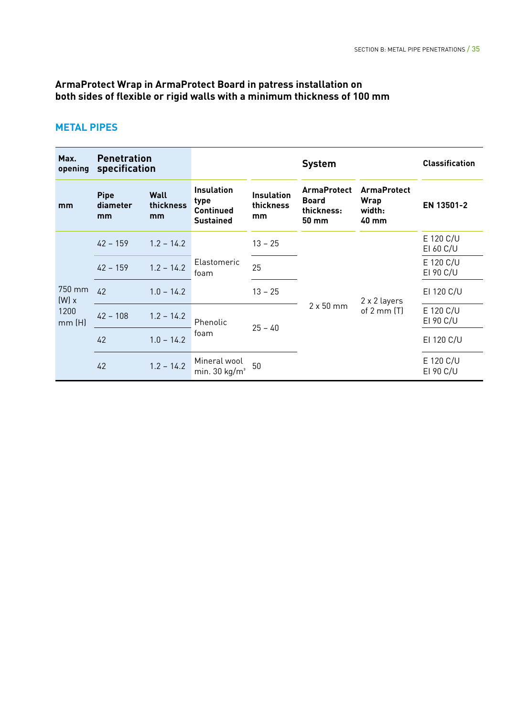### **ArmaProtect Wrap in ArmaProtect Board in patress installation on both sides of flexible or rigid walls with a minimum thickness of 100 mm**

### **METAL PIPES**

| Max.<br>opening   | <b>Penetration</b><br>specification |                                | <b>System</b>                                                     |                                      |                                                           |                                                      | <b>Classification</b>  |
|-------------------|-------------------------------------|--------------------------------|-------------------------------------------------------------------|--------------------------------------|-----------------------------------------------------------|------------------------------------------------------|------------------------|
| mm                | <b>Pipe</b><br>diameter<br>mm       | <b>Wall</b><br>thickness<br>mm | <b>Insulation</b><br>type<br><b>Continued</b><br><b>Sustained</b> | <b>Insulation</b><br>thickness<br>mm | <b>ArmaProtect</b><br><b>Board</b><br>thickness:<br>50 mm | <b>ArmaProtect</b><br><b>Wrap</b><br>width:<br>40 mm | EN 13501-2             |
|                   | $42 - 159$                          | $1.2 - 14.2$                   |                                                                   | $13 - 25$                            |                                                           |                                                      | E 120 C/U<br>EI 60 C/U |
|                   | $42 - 159$                          | $1.2 - 14.2$                   | Elastomeric<br>foam                                               | 25                                   |                                                           | 2 x 2 layers<br>of $2 \text{ mm}$ (T)                | E 120 C/U<br>EI 90 C/U |
| 750 mm<br>$(W)$ x | 42                                  | $1.0 - 14.2$                   |                                                                   | $13 - 25$                            |                                                           |                                                      | EI 120 C/U             |
| 1200<br>mm(H)     | $42 - 108$                          | $1.2 - 14.2$                   | Phenolic                                                          | $25 - 40$                            | $2 \times 50$ mm                                          |                                                      | E 120 C/U<br>EI 90 C/U |
|                   | 42                                  | $1.0 - 14.2$                   | foam                                                              |                                      |                                                           |                                                      | EI 120 C/U             |
|                   | 42                                  | $1.2 - 14.2$                   | Mineral wool<br>min. $30 \text{ kg/m}^3$                          | 50                                   |                                                           |                                                      | E 120 C/U<br>EI 90 C/U |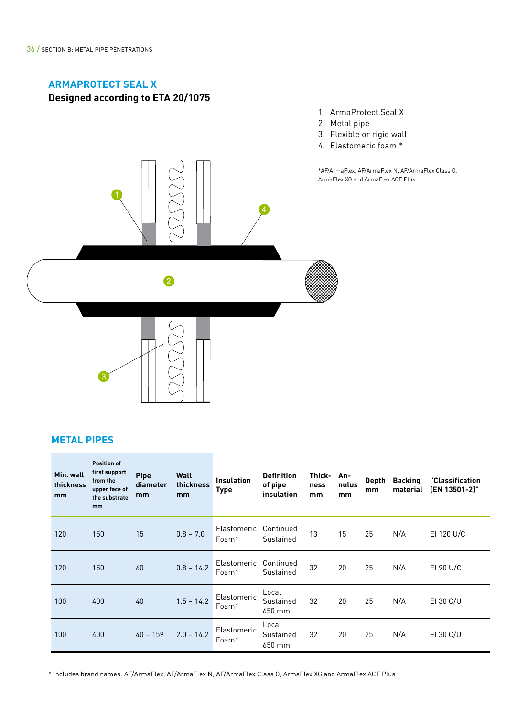

### **METAL PIPES**

| Min. wall<br>thickness<br>mm | <b>Position of</b><br>first support<br>from the<br>upper face of<br>the substrate<br>mm | <b>Pipe</b><br>diameter<br>mm | Wall<br>thickness<br>mm | <b>Insulation</b><br>Type | <b>Definition</b><br>of pipe<br>insulation | Thick-<br>ness<br>mm | An-<br>nulus<br>mm | Depth<br>mm | <b>Backing</b><br>material | "Classification<br>(EN 13501-2)" |
|------------------------------|-----------------------------------------------------------------------------------------|-------------------------------|-------------------------|---------------------------|--------------------------------------------|----------------------|--------------------|-------------|----------------------------|----------------------------------|
| 120                          | 150                                                                                     | 15                            | $0.8 - 7.0$             | Elastomeric<br>Foam*      | Continued<br>Sustained                     | 13                   | 15                 | 25          | N/A                        | EI 120 U/C                       |
| 120                          | 150                                                                                     | 60                            | $0.8 - 14.2$            | Elastomeric<br>Foam*      | Continued<br>Sustained                     | 32                   | 20                 | 25          | N/A                        | EI 90 U/C                        |
| 100                          | 400                                                                                     | 40                            | $1.5 - 14.2$            | Elastomeric<br>Foam*      | Local<br>Sustained<br>650 mm               | 32                   | 20                 | 25          | N/A                        | EI 30 C/U                        |
| 100                          | 400                                                                                     | $40 - 159$                    | $2.0 - 14.2$            | Elastomeric<br>Foam*      | Local<br>Sustained<br>650 mm               | 32                   | 20                 | 25          | N/A                        | EI 30 C/U                        |

\* Includes brand names: AF/ArmaFlex, AF/ArmaFlex N, AF/ArmaFlex Class O, ArmaFlex XG and ArmaFlex ACE Plus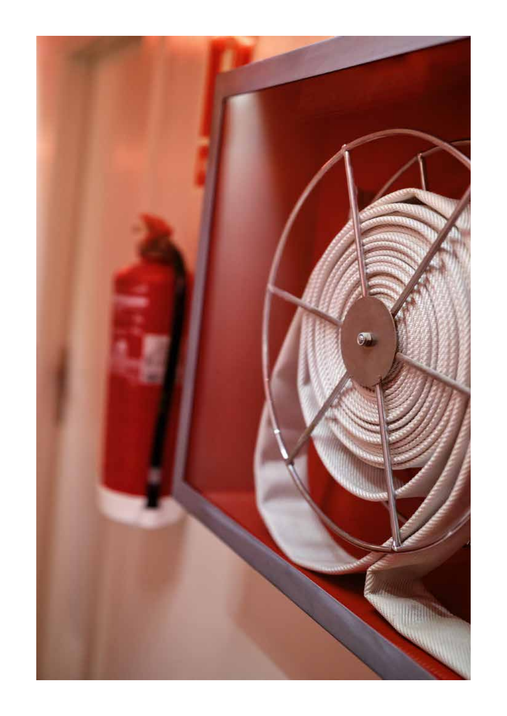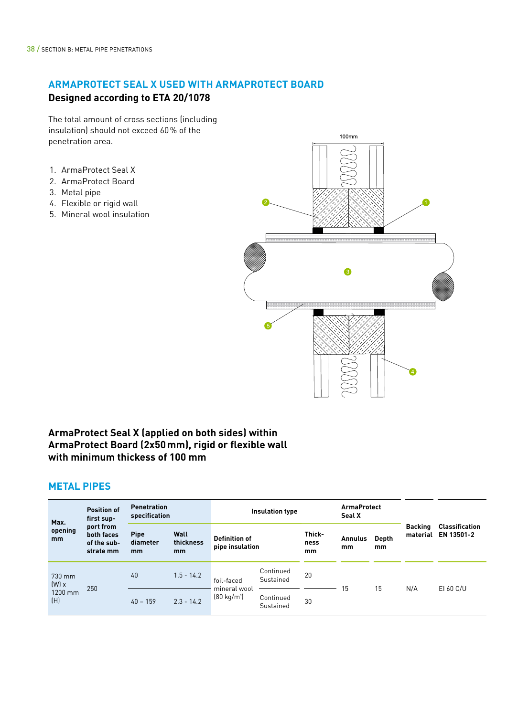### **ARMAPROTECT SEAL X USED WITH ARMAPROTECT BOARD**

### **Designed according to ETA 20/1078**

The total amount of cross sections (including insulation) should not exceed 60% of the penetration area.

- 1. ArmaProtect Seal X
- 2. ArmaProtect Board
- 3. Metal pipe
- 4. Flexible or rigid wall
- 5. Mineral wool insulation



### **ArmaProtect Seal X (applied on both sides) within ArmaProtect Board (2x50mm), rigid or flexible wall with minimum thickess of 100 mm**

### **METAL PIPES**

| Max.              | <b>Position of</b><br>first sup-                    | <b>Penetration</b><br>specification |                         | <b>Insulation type</b>                |                                         | <b>ArmaProtect</b><br>Seal X |                      |             |                            |                                     |
|-------------------|-----------------------------------------------------|-------------------------------------|-------------------------|---------------------------------------|-----------------------------------------|------------------------------|----------------------|-------------|----------------------------|-------------------------------------|
| opening<br>mm     | port from<br>both faces<br>of the sub-<br>strate mm | <b>Pipe</b><br>diameter<br>mm       | Wall<br>thickness<br>mm | <b>Definition of</b>                  | Thick-<br>ness<br>pipe insulation<br>mm |                              | <b>Annulus</b><br>mm | Depth<br>mm | <b>Backing</b><br>material | <b>Classification</b><br>EN 13501-2 |
| 730 mm<br>$(W)$ x | 250                                                 | 40                                  | $1.5 - 14.2$            | foil-faced                            | Continued<br>Sustained                  | 20                           | 15                   | 15          | N/A                        | EI 60 C/U                           |
| 1200 mm<br>(H)    |                                                     | $40 - 159$                          | $2.3 - 14.2$            | mineral wool<br>$(80 \text{ kg/m}^3)$ | Continued<br>Sustained                  | 30                           |                      |             |                            |                                     |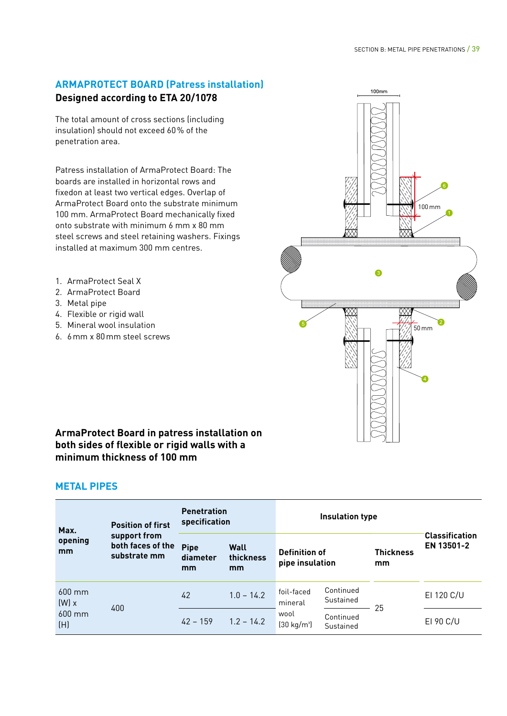### **ARMAPROTECT BOARD (Patress installation)**

### **Designed according to ETA 20/1078**

The total amount of cross sections (including insulation) should not exceed 60% of the penetration area.

Patress installation of ArmaProtect Board: The boards are installed in horizontal rows and fixedon at least two vertical edges. Overlap of ArmaProtect Board onto the substrate minimum 100 mm. ArmaProtect Board mechanically fixed onto substrate with minimum 6 mm x 80 mm steel screws and steel retaining washers. Fixings installed at maximum 300 mm centres.

- 1. ArmaProtect Seal X
- 2. ArmaProtect Board
- 3. Metal pipe
- 4. Flexible or rigid wall
- 5. Mineral wool insulation
- 6. 6mm x 80mm steel screws



### **ArmaProtect Board in patress installation on both sides of flexible or rigid walls with a minimum thickness of 100 mm**

### **METAL PIPES**

| <b>Position of first</b><br>Max. |                                                   | <b>Penetration</b><br>specification |                         | <b>Insulation type</b>           |                        |                        |                                     |
|----------------------------------|---------------------------------------------------|-------------------------------------|-------------------------|----------------------------------|------------------------|------------------------|-------------------------------------|
| opening<br>mm                    | support from<br>both faces of the<br>substrate mm | <b>Pipe</b><br>diameter<br>mm       | Wall<br>thickness<br>mm | Definition of<br>pipe insulation |                        | <b>Thickness</b><br>mm | <b>Classification</b><br>EN 13501-2 |
| $600 \text{ mm}$<br>$(W)$ x      |                                                   | 42                                  | $1.0 - 14.2$            | foil-faced<br>mineral            | Continued<br>Sustained |                        | EI 120 C/U                          |
| 600 mm<br>(H)                    | 400                                               | $42 - 159$                          | $1.2 - 14.2$            | wool<br>$(30 \text{ kg/m}^3)$    | Continued<br>Sustained | 25                     | EI 90 C/U                           |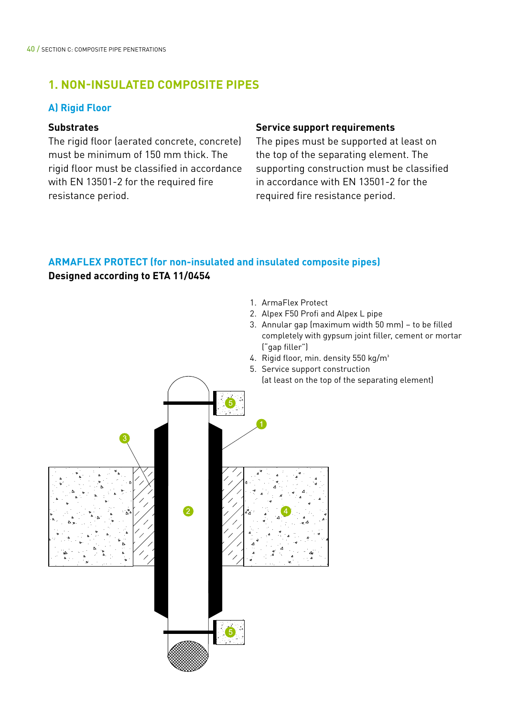### **1. NON-INSULATED COMPOSITE PIPES**

### **A) Rigid Floor**

### **Substrates**

The rigid floor (aerated concrete, concrete) must be minimum of 150 mm thick. The rigid floor must be classified in accordance with EN 13501-2 for the required fire resistance period.

### **Service support requirements**

The pipes must be supported at least on the top of the separating element. The supporting construction must be classified in accordance with EN 13501-2 for the required fire resistance period.

### **ARMAFLEX PROTECT (for non-insulated and insulated composite pipes) Designed according to ETA 11/0454**

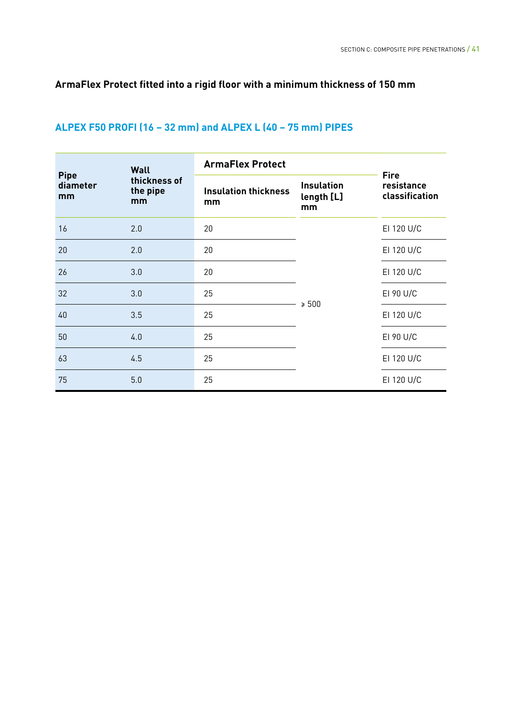### **ArmaFlex Protect fitted into a rigid floor with a minimum thickness of 150 mm**

|                               | Wall                                                                | <b>ArmaFlex Protect</b> | <b>Fire</b>                           |                              |
|-------------------------------|---------------------------------------------------------------------|-------------------------|---------------------------------------|------------------------------|
| <b>Pipe</b><br>diameter<br>mm | thickness of<br>the pipe<br><b>Insulation thickness</b><br>mm<br>mm |                         | <b>Insulation</b><br>length [L]<br>mm | resistance<br>classification |
| 16                            | 2.0                                                                 | 20                      |                                       | EI 120 U/C                   |
| 20                            | 2.0                                                                 | 20                      |                                       | EI 120 U/C                   |
| 26                            | 3.0                                                                 | 20                      |                                       | EI 120 U/C                   |
| 32                            | 3.0                                                                 | 25                      |                                       | EI 90 U/C                    |
| 40                            | 3.5                                                                 | 25                      | $\geqslant 500$                       | EI 120 U/C                   |
| 50                            | 4.0                                                                 | 25                      |                                       | EI 90 U/C                    |
| 63                            | 4.5                                                                 | 25                      |                                       | EI 120 U/C                   |
| 75                            | 5.0                                                                 | 25                      |                                       | EI 120 U/C                   |

### **ALPEX F50 PROFI (16 – 32 mm) and ALPEX L (40 – 75 mm) PIPES**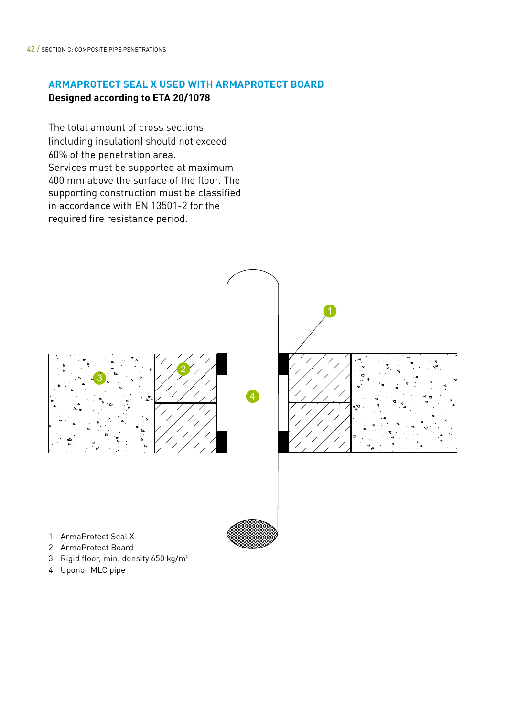### **ARMAPROTECT SEAL X USED WITH ARMAPROTECT BOARD**

**Designed according to ETA 20/1078**

The total amount of cross sections (including insulation) should not exceed 60% of the penetration area. Services must be supported at maximum 400 mm above the surface of the floor. The supporting construction must be classified in accordance with EN 13501-2 for the required fire resistance period.



4. Uponor MLC pipe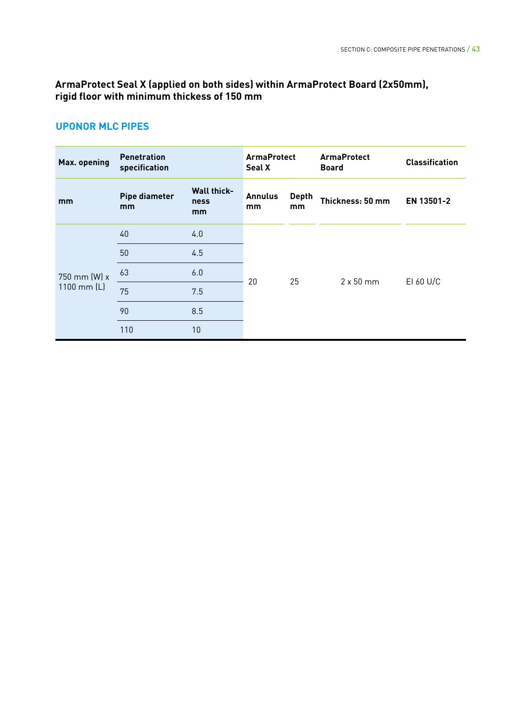### **ArmaProtect Seal X (applied on both sides) within ArmaProtect Board (2x50mm), rigid floor with minimum thickess of 150 mm**

### **UPONOR MLC PIPES**

| Max. opening | <b>Penetration</b><br>specification |                                  | <b>ArmaProtect</b><br>Seal X |                    | <b>ArmaProtect</b><br><b>Board</b> | <b>Classification</b> |
|--------------|-------------------------------------|----------------------------------|------------------------------|--------------------|------------------------------------|-----------------------|
| mm           | <b>Pipe diameter</b><br>mm          | <b>Wall thick-</b><br>ness<br>mm | <b>Annulus</b><br>mm         | <b>Depth</b><br>mm | Thickness: 50 mm                   | EN 13501-2            |
|              | 40                                  | 4.0                              |                              | 25                 | $2 \times 50$ mm                   | EI 60 U/C             |
|              | 50                                  | 4.5                              |                              |                    |                                    |                       |
| 750 mm (W) x | 63                                  | 6.0                              |                              |                    |                                    |                       |
| 1100 mm (L)  | 75                                  | 7.5                              | 20                           |                    |                                    |                       |
|              | 90                                  | 8.5                              |                              |                    |                                    |                       |
|              | 110                                 | 10                               |                              |                    |                                    |                       |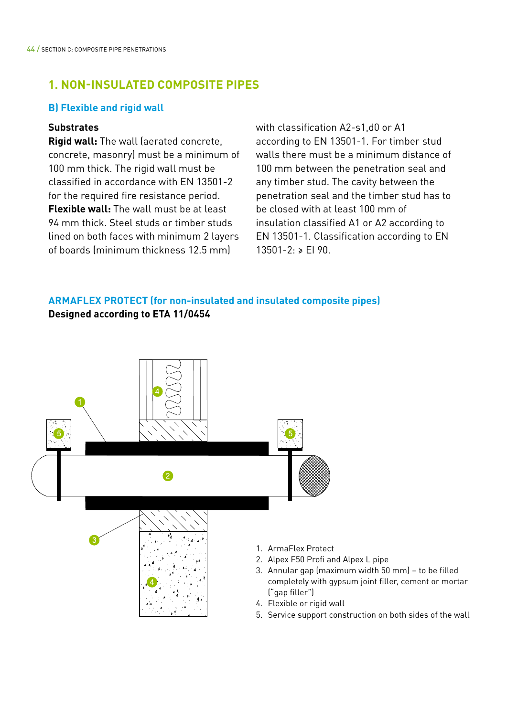### **1. NON-INSULATED COMPOSITE PIPES**

### **B) Flexible and rigid wall**

### **Substrates**

**Rigid wall:** The wall (aerated concrete, concrete, masonry) must be a minimum of 100 mm thick. The rigid wall must be classified in accordance with EN 13501-2 for the required fire resistance period. **Flexible wall:** The wall must be at least 94 mm thick. Steel studs or timber studs lined on both faces with minimum 2 layers of boards (minimum thickness 12.5 mm)

with classification A2-s1,d0 or A1 according to EN 13501-1. For timber stud walls there must be a minimum distance of 100 mm between the penetration seal and any timber stud. The cavity between the penetration seal and the timber stud has to be closed with at least 100 mm of insulation classified A1 or A2 according to EN 13501-1. Classification according to EN  $13501 - 2: \geq E190$ .

### **ARMAFLEX PROTECT (for non-insulated and insulated composite pipes) Designed according to ETA 11/0454**

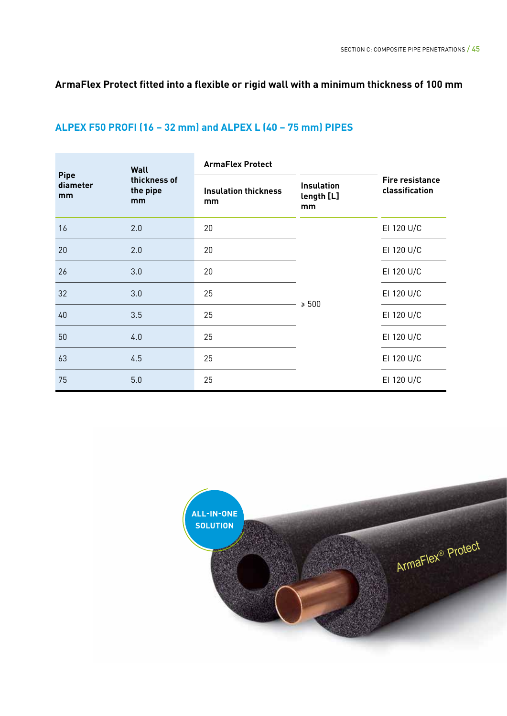### **ArmaFlex Protect fitted into a flexible or rigid wall with a minimum thickness of 100 mm**

|                               | Wall                           | <b>ArmaFlex Protect</b>           |                                       |                                          |
|-------------------------------|--------------------------------|-----------------------------------|---------------------------------------|------------------------------------------|
| <b>Pipe</b><br>diameter<br>mm | thickness of<br>the pipe<br>mm | <b>Insulation thickness</b><br>mm | <b>Insulation</b><br>length [L]<br>mm | <b>Fire resistance</b><br>classification |
| 16                            | 2.0                            | 20                                |                                       | EI 120 U/C                               |
| 20                            | 2.0                            | 20                                |                                       | EI 120 U/C                               |
| 26                            | 3.0                            | 20                                |                                       | EI 120 U/C                               |
| 32                            | 3.0                            | 25                                |                                       | EI 120 U/C                               |
| 40                            | 3.5                            | 25                                | $\geqslant 500$                       | EI 120 U/C                               |
| 50                            | 4.0                            | 25                                |                                       | EI 120 U/C                               |
| 63                            | 4.5                            | 25                                |                                       | EI 120 U/C                               |
| 75                            | 5.0                            | 25                                |                                       | EI 120 U/C                               |

### **ALPEX F50 PROFI (16 – 32 mm) and ALPEX L (40 – 75 mm) PIPES**

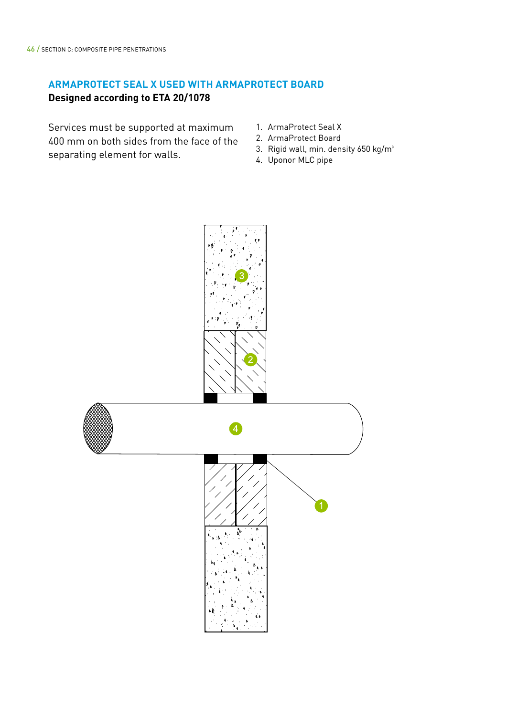### **ARMAPROTECT SEAL X USED WITH ARMAPROTECT BOARD**

**Designed according to ETA 20/1078**

Services must be supported at maximum 400 mm on both sides from the face of the separating element for walls.

- 1. ArmaProtect Seal X
- 2. ArmaProtect Board
- 3. Rigid wall, min. density 650 kg/m<sup>3</sup>
- 4. Uponor MLC pipe

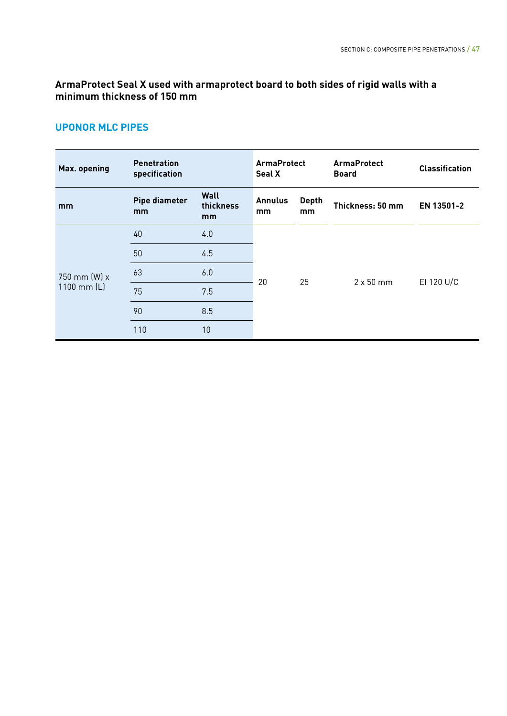### **ArmaProtect Seal X used with armaprotect board to both sides of rigid walls with a minimum thickness of 150 mm**

### **UPONOR MLC PIPES**

| Max. opening | <b>Penetration</b><br>specification |                         | <b>ArmaProtect</b><br>Seal X |                    | <b>ArmaProtect</b><br><b>Board</b> | <b>Classification</b> |
|--------------|-------------------------------------|-------------------------|------------------------------|--------------------|------------------------------------|-----------------------|
| mm           | <b>Pipe diameter</b><br>mm          | Wall<br>thickness<br>mm | <b>Annulus</b><br>mm         | <b>Depth</b><br>mm | Thickness: 50 mm                   | EN 13501-2            |
|              | 40                                  | 4.0                     |                              |                    |                                    | EI 120 U/C            |
|              | 50                                  | 4.5                     |                              | 25                 | $2 \times 50$ mm                   |                       |
| 750 mm (W) x | 63                                  | 6.0                     | 20                           |                    |                                    |                       |
| 1100 mm (L)  | 75                                  | 7.5                     |                              |                    |                                    |                       |
|              | 90                                  | 8.5                     |                              |                    |                                    |                       |
|              | 110                                 | 10                      |                              |                    |                                    |                       |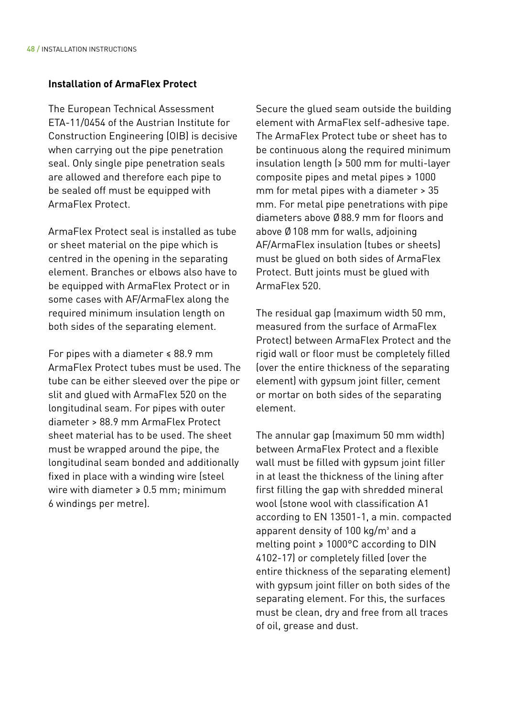### **Installation of ArmaFlex Protect**

The European Technical Assessment ETA-11/0454 of the Austrian Institute for Construction Engineering (OIB) is decisive when carrying out the pipe penetration seal. Only single pipe penetration seals are allowed and therefore each pipe to be sealed off must be equipped with ArmaFlex Protect.

ArmaFlex Protect seal is installed as tube or sheet material on the pipe which is centred in the opening in the separating element. Branches or elbows also have to be equipped with ArmaFlex Protect or in some cases with AF/ArmaFlex along the required minimum insulation length on both sides of the separating element.

For pipes with a diameter  $\leq 88.9$  mm ArmaFlex Protect tubes must be used. The tube can be either sleeved over the pipe or slit and glued with ArmaFlex 520 on the longitudinal seam. For pipes with outer diameter > 88.9 mm ArmaFlex Protect sheet material has to be used. The sheet must be wrapped around the pipe, the longitudinal seam bonded and additionally fixed in place with a winding wire (steel wire with diameter  $\geq 0.5$  mm; minimum 6 windings per metre).

Secure the glued seam outside the building element with ArmaFlex self-adhesive tape. The ArmaFlex Protect tube or sheet has to be continuous along the required minimum insulation length (≥ 500 mm for multi-layer composite pipes and metal pipes ≥ 1000 mm for metal pipes with a diameter > 35 mm. For metal pipe penetrations with pipe diameters above Ø88.9 mm for floors and above Ø108 mm for walls, adjoining AF/ArmaFlex insulation (tubes or sheets) must be glued on both sides of ArmaFlex Protect. Butt joints must be glued with ArmaFlex 520.

The residual gap (maximum width 50 mm, measured from the surface of ArmaFlex Protect) between ArmaFlex Protect and the rigid wall or floor must be completely filled (over the entire thickness of the separating element) with gypsum joint filler, cement or mortar on both sides of the separating element.

The annular gap (maximum 50 mm width) between ArmaFlex Protect and a flexible wall must be filled with gypsum joint filler in at least the thickness of the lining after first filling the gap with shredded mineral wool (stone wool with classification A1 according to EN 13501-1, a min. compacted apparent density of  $100 \text{ kg/m}^3$  and a melting point ≥ 1000°C according to DIN 4102-17) or completely filled (over the entire thickness of the separating element) with gypsum joint filler on both sides of the separating element. For this, the surfaces must be clean, dry and free from all traces of oil, grease and dust.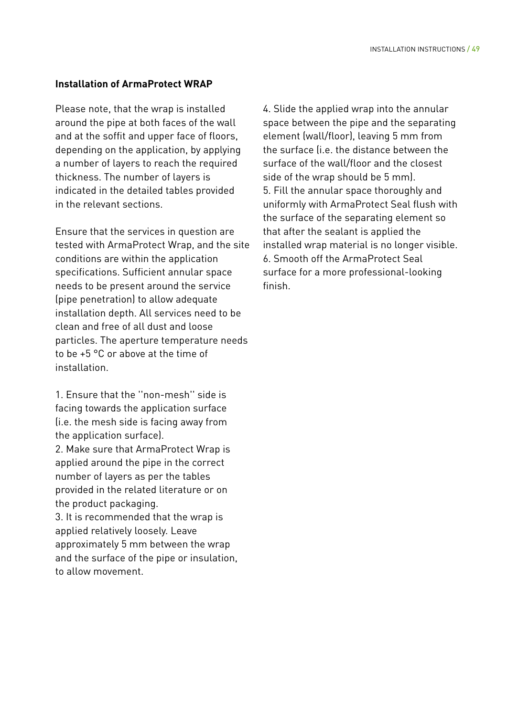### **Installation of ArmaProtect WRAP**

Please note, that the wrap is installed around the pipe at both faces of the wall and at the soffit and upper face of floors, depending on the application, by applying a number of layers to reach the required thickness. The number of layers is indicated in the detailed tables provided in the relevant sections.

Ensure that the services in question are tested with ArmaProtect Wrap, and the site conditions are within the application specifications. Sufficient annular space needs to be present around the service (pipe penetration) to allow adequate installation depth. All services need to be clean and free of all dust and loose particles. The aperture temperature needs to be +5 °C or above at the time of installation.

1. Ensure that the ''non-mesh'' side is facing towards the application surface (i.e. the mesh side is facing away from the application surface). 2. Make sure that ArmaProtect Wrap is applied around the pipe in the correct number of layers as per the tables provided in the related literature or on the product packaging. 3. It is recommended that the wrap is applied relatively loosely. Leave approximately 5 mm between the wrap and the surface of the pipe or insulation, to allow movement.

4. Slide the applied wrap into the annular space between the pipe and the separating element (wall/floor), leaving 5 mm from the surface (i.e. the distance between the surface of the wall/floor and the closest side of the wrap should be 5 mm). 5. Fill the annular space thoroughly and uniformly with ArmaProtect Seal flush with the surface of the separating element so that after the sealant is applied the installed wrap material is no longer visible. 6. Smooth off the ArmaProtect Seal surface for a more professional-looking finish.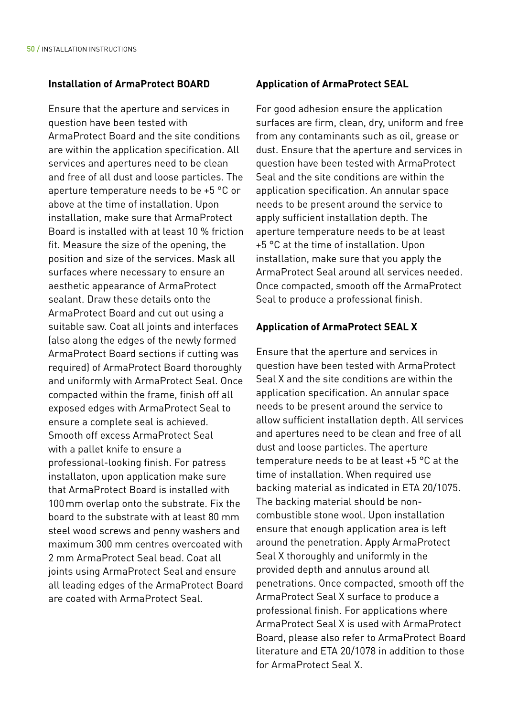### **Installation of ArmaProtect BOARD Application of ArmaProtect SEAL**

Ensure that the aperture and services in question have been tested with ArmaProtect Board and the site conditions are within the application specification. All services and apertures need to be clean and free of all dust and loose particles. The aperture temperature needs to be +5 °C or above at the time of installation. Upon installation, make sure that ArmaProtect Board is installed with at least 10 % friction fit. Measure the size of the opening, the position and size of the services. Mask all surfaces where necessary to ensure an aesthetic appearance of ArmaProtect sealant. Draw these details onto the ArmaProtect Board and cut out using a suitable saw. Coat all joints and interfaces (also along the edges of the newly formed ArmaProtect Board sections if cutting was required) of ArmaProtect Board thoroughly and uniformly with ArmaProtect Seal. Once compacted within the frame, finish off all exposed edges with ArmaProtect Seal to ensure a complete seal is achieved. Smooth off excess ArmaProtect Seal with a pallet knife to ensure a professional-looking finish. For patress installaton, upon application make sure that ArmaProtect Board is installed with 100mm overlap onto the substrate. Fix the board to the substrate with at least 80 mm steel wood screws and penny washers and maximum 300 mm centres overcoated with 2 mm ArmaProtect Seal bead. Coat all joints using ArmaProtect Seal and ensure all leading edges of the ArmaProtect Board are coated with ArmaProtect Seal.

For good adhesion ensure the application surfaces are firm, clean, dry, uniform and free from any contaminants such as oil, grease or dust. Ensure that the aperture and services in question have been tested with ArmaProtect Seal and the site conditions are within the application specification. An annular space needs to be present around the service to apply sufficient installation depth. The aperture temperature needs to be at least +5 °C at the time of installation. Upon installation, make sure that you apply the ArmaProtect Seal around all services needed. Once compacted, smooth off the ArmaProtect Seal to produce a professional finish.

### **Application of ArmaProtect SEAL X**

Ensure that the aperture and services in question have been tested with ArmaProtect Seal X and the site conditions are within the application specification. An annular space needs to be present around the service to allow sufficient installation depth. All services and apertures need to be clean and free of all dust and loose particles. The aperture temperature needs to be at least +5 °C at the time of installation. When required use backing material as indicated in ETA 20/1075. The backing material should be noncombustible stone wool. Upon installation ensure that enough application area is left around the penetration. Apply ArmaProtect Seal X thoroughly and uniformly in the provided depth and annulus around all penetrations. Once compacted, smooth off the ArmaProtect Seal X surface to produce a professional finish. For applications where ArmaProtect Seal X is used with ArmaProtect Board, please also refer to ArmaProtect Board literature and ETA 20/1078 in addition to those for ArmaProtect Seal X.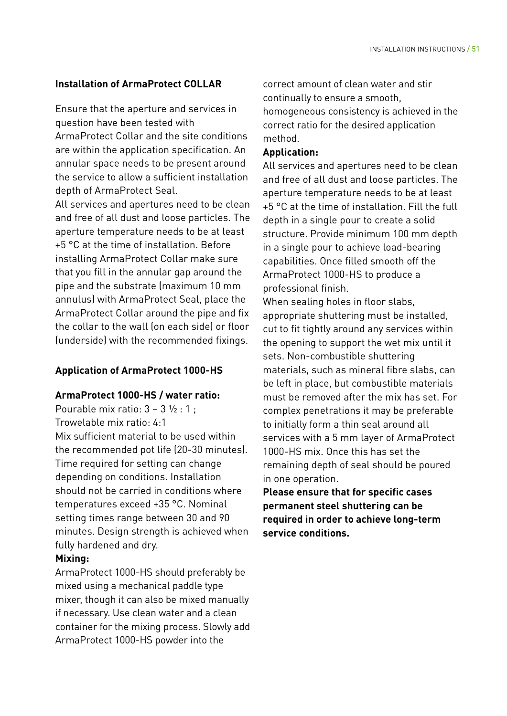### **Installation of ArmaProtect COLLAR**

Ensure that the aperture and services in question have been tested with ArmaProtect Collar and the site conditions are within the application specification. An annular space needs to be present around the service to allow a sufficient installation depth of ArmaProtect Seal.

All services and apertures need to be clean and free of all dust and loose particles. The aperture temperature needs to be at least +5 °C at the time of installation. Before installing ArmaProtect Collar make sure that you fill in the annular gap around the pipe and the substrate (maximum 10 mm annulus) with ArmaProtect Seal, place the ArmaProtect Collar around the pipe and fix the collar to the wall (on each side) or floor (underside) with the recommended fixings.

### **Application of ArmaProtect 1000-HS**

### **ArmaProtect 1000-HS / water ratio:**

Pourable mix ratio:  $3 - 3\frac{1}{2}$ : 1: Trowelable mix ratio: 4:1 Mix sufficient material to be used within the recommended pot life (20-30 minutes). Time required for setting can change depending on conditions. Installation should not be carried in conditions where temperatures exceed +35 °C. Nominal setting times range between 30 and 90 minutes. Design strength is achieved when fully hardened and dry.

### **Mixing:**

ArmaProtect 1000-HS should preferably be mixed using a mechanical paddle type mixer, though it can also be mixed manually if necessary. Use clean water and a clean container for the mixing process. Slowly add ArmaProtect 1000-HS powder into the

correct amount of clean water and stir continually to ensure a smooth, homogeneous consistency is achieved in the correct ratio for the desired application method.

### **Application:**

All services and apertures need to be clean and free of all dust and loose particles. The aperture temperature needs to be at least +5 °C at the time of installation. Fill the full depth in a single pour to create a solid structure. Provide minimum 100 mm depth in a single pour to achieve load-bearing capabilities. Once filled smooth off the ArmaProtect 1000-HS to produce a professional finish.

When sealing holes in floor slabs, appropriate shuttering must be installed, cut to fit tightly around any services within the opening to support the wet mix until it sets. Non-combustible shuttering materials, such as mineral fibre slabs, can be left in place, but combustible materials must be removed after the mix has set. For complex penetrations it may be preferable to initially form a thin seal around all services with a 5 mm layer of ArmaProtect 1000-HS mix. Once this has set the remaining depth of seal should be poured in one operation.

**Please ensure that for specific cases permanent steel shuttering can be required in order to achieve long-term service conditions.**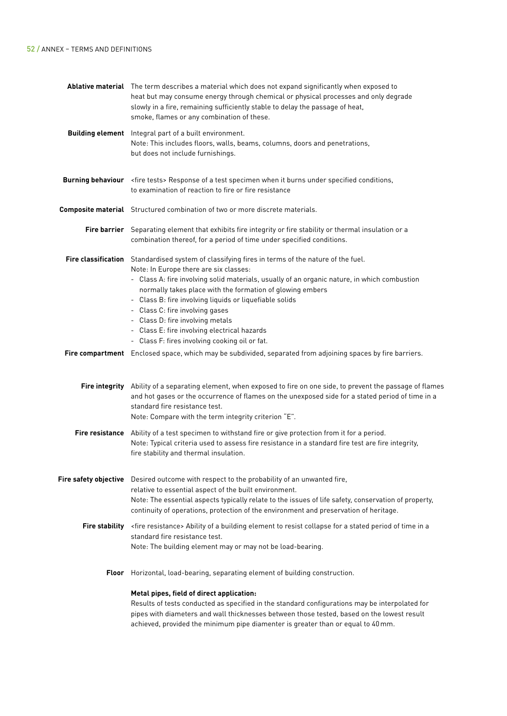### 52 / ANNEX – TERMS AND DEFINITIONS

|                       | Ablative material The term describes a material which does not expand significantly when exposed to<br>heat but may consume energy through chemical or physical processes and only degrade<br>slowly in a fire, remaining sufficiently stable to delay the passage of heat,<br>smoke, flames or any combination of these.                                                                                                                                                                                                                   |
|-----------------------|---------------------------------------------------------------------------------------------------------------------------------------------------------------------------------------------------------------------------------------------------------------------------------------------------------------------------------------------------------------------------------------------------------------------------------------------------------------------------------------------------------------------------------------------|
|                       | Building element Integral part of a built environment.<br>Note: This includes floors, walls, beams, columns, doors and penetrations,<br>but does not include furnishings.                                                                                                                                                                                                                                                                                                                                                                   |
|                       | Burning behaviour <fire tests=""> Response of a test specimen when it burns under specified conditions,<br/>to examination of reaction to fire or fire resistance</fire>                                                                                                                                                                                                                                                                                                                                                                    |
|                       | Composite material Structured combination of two or more discrete materials.                                                                                                                                                                                                                                                                                                                                                                                                                                                                |
|                       | Fire barrier Separating element that exhibits fire integrity or fire stability or thermal insulation or a<br>combination thereof, for a period of time under specified conditions.                                                                                                                                                                                                                                                                                                                                                          |
|                       | Fire classification Standardised system of classifying fires in terms of the nature of the fuel.<br>Note: In Europe there are six classes:<br>- Class A: fire involving solid materials, usually of an organic nature, in which combustion<br>normally takes place with the formation of glowing embers<br>- Class B: fire involving liquids or liquefiable solids<br>- Class C: fire involving gases<br>- Class D: fire involving metals<br>- Class E: fire involving electrical hazards<br>- Class F: fires involving cooking oil or fat. |
|                       | Fire compartment Enclosed space, which may be subdivided, separated from adjoining spaces by fire barriers.                                                                                                                                                                                                                                                                                                                                                                                                                                 |
|                       | Fire integrity Ability of a separating element, when exposed to fire on one side, to prevent the passage of flames<br>and hot gases or the occurrence of flames on the unexposed side for a stated period of time in a<br>standard fire resistance test.<br>Note: Compare with the term integrity criterion "E".                                                                                                                                                                                                                            |
|                       | Fire resistance Ability of a test specimen to withstand fire or give protection from it for a period.<br>Note: Typical criteria used to assess fire resistance in a standard fire test are fire integrity,<br>fire stability and thermal insulation.                                                                                                                                                                                                                                                                                        |
| Fire safety objective | Desired outcome with respect to the probability of an unwanted fire,<br>relative to essential aspect of the built environment.<br>Note: The essential aspects typically relate to the issues of life safety, conservation of property,<br>continuity of operations, protection of the environment and preservation of heritage.                                                                                                                                                                                                             |
| <b>Fire stability</b> | <fire resistance=""> Ability of a building element to resist collapse for a stated period of time in a<br/>standard fire resistance test.<br/>Note: The building element may or may not be load-bearing.</fire>                                                                                                                                                                                                                                                                                                                             |
| Floor                 | Horizontal, load-bearing, separating element of building construction.                                                                                                                                                                                                                                                                                                                                                                                                                                                                      |
|                       | Metal pipes, field of direct application:<br>Results of tests conducted as specified in the standard configurations may be interpolated for<br>pipes with diameters and wall thicknesses between those tested, based on the lowest result<br>achieved, provided the minimum pipe diamenter is greater than or equal to 40 mm.                                                                                                                                                                                                               |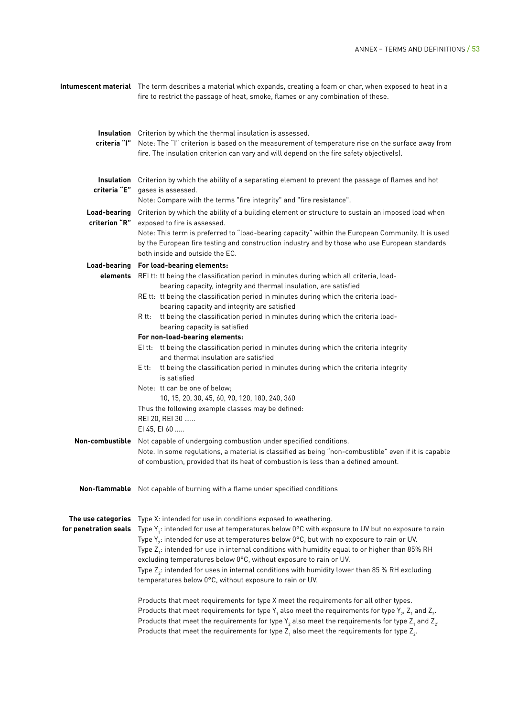|                                             | Intumescent material The term describes a material which expands, creating a foam or char, when exposed to heat in a<br>fire to restrict the passage of heat, smoke, flames or any combination of these.                                                                                                                                                                                                                                                                                                                                                                                                                                                                                                                                                                                                                                                                                                                                                                                                                                               |
|---------------------------------------------|--------------------------------------------------------------------------------------------------------------------------------------------------------------------------------------------------------------------------------------------------------------------------------------------------------------------------------------------------------------------------------------------------------------------------------------------------------------------------------------------------------------------------------------------------------------------------------------------------------------------------------------------------------------------------------------------------------------------------------------------------------------------------------------------------------------------------------------------------------------------------------------------------------------------------------------------------------------------------------------------------------------------------------------------------------|
|                                             | <b>Insulation</b> Criterion by which the thermal insulation is assessed.<br>criteria "I" Note: The "I" criterion is based on the measurement of temperature rise on the surface away from<br>fire. The insulation criterion can vary and will depend on the fire safety objective(s).                                                                                                                                                                                                                                                                                                                                                                                                                                                                                                                                                                                                                                                                                                                                                                  |
| criteria "E"                                | Insulation Criterion by which the ability of a separating element to prevent the passage of flames and hot<br>gases is assessed.<br>Note: Compare with the terms "fire integrity" and "fire resistance".                                                                                                                                                                                                                                                                                                                                                                                                                                                                                                                                                                                                                                                                                                                                                                                                                                               |
| <b>Load-bearing</b><br>criterion "R"        | Criterion by which the ability of a building element or structure to sustain an imposed load when<br>exposed to fire is assessed.<br>Note: This term is preferred to "load-bearing capacity" within the European Community. It is used<br>by the European fire testing and construction industry and by those who use European standards<br>both inside and outside the EC.                                                                                                                                                                                                                                                                                                                                                                                                                                                                                                                                                                                                                                                                            |
|                                             | Load-bearing For load-bearing elements:<br>elements REI tt: tt being the classification period in minutes during which all criteria, load-<br>bearing capacity, integrity and thermal insulation, are satisfied<br>RE tt: tt being the classification period in minutes during which the criteria load-<br>bearing capacity and integrity are satisfied<br>tt being the classification period in minutes during which the criteria load-<br>R tt:<br>bearing capacity is satisfied<br>For non-load-bearing elements:<br>El tt: tt being the classification period in minutes during which the criteria integrity<br>and thermal insulation are satisfied<br>tt being the classification period in minutes during which the criteria integrity<br>$E$ tt:<br>is satisfied<br>Note: tt can be one of below;<br>10, 15, 20, 30, 45, 60, 90, 120, 180, 240, 360<br>Thus the following example classes may be defined:<br>REI 20, REI 30<br>EI 45, EI 60                                                                                                    |
| Non-combustible                             | Not capable of undergoing combustion under specified conditions.<br>Note. In some regulations, a material is classified as being "non-combustible" even if it is capable<br>of combustion, provided that its heat of combustion is less than a defined amount.                                                                                                                                                                                                                                                                                                                                                                                                                                                                                                                                                                                                                                                                                                                                                                                         |
|                                             | <b>Non-flammable</b> Not capable of burning with a flame under specified conditions                                                                                                                                                                                                                                                                                                                                                                                                                                                                                                                                                                                                                                                                                                                                                                                                                                                                                                                                                                    |
| The use categories<br>for penetration seals | Type X: intended for use in conditions exposed to weathering.<br>Type Y <sub>1</sub> : intended for use at temperatures below 0°C with exposure to UV but no exposure to rain<br>Type $Y_2$ : intended for use at temperatures below 0°C, but with no exposure to rain or UV.<br>Type Z <sub>1</sub> : intended for use in internal conditions with humidity equal to or higher than 85% RH<br>excluding temperatures below 0°C, without exposure to rain or UV.<br>Type $Z_2$ : intended for uses in internal conditions with humidity lower than 85 % RH excluding<br>temperatures below 0°C, without exposure to rain or UV.<br>Products that meet requirements for type X meet the requirements for all other types.<br>Products that meet requirements for type $Y_1$ also meet the requirements for type $Y_2$ , $Z_1$ and $Z_2$ .<br>Products that meet the requirements for type $Y_2$ also meet the requirements for type $Z_1$ and $Z_2$ .<br>Products that meet the requirements for type $Z_1$ also meet the requirements for type $Z_2$ . |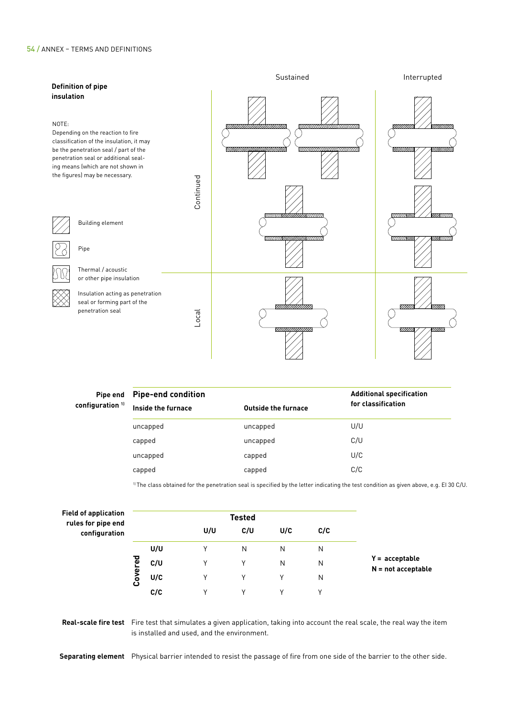

| Pipe end                    | <b>Pipe-end condition</b> | <b>Additional specification</b> |                    |
|-----------------------------|---------------------------|---------------------------------|--------------------|
| configuration <sup>11</sup> | Inside the furnace        | <b>Outside the furnace</b>      | for classification |
|                             | uncapped                  | uncapped                        | U/U                |
|                             | capped                    | uncapped                        | C/U                |
|                             | uncapped                  | capped                          | U/C                |
|                             | capped                    | capped                          | C/C                |

1) The class obtained for the penetration seal is specified by the letter indicating the test condition as given above, e.g. EI 30 C/U.

| <b>Field of application</b>         |        |     |              |     |     |     |                                          |
|-------------------------------------|--------|-----|--------------|-----|-----|-----|------------------------------------------|
| rules for pipe end<br>configuration |        |     | U/U          | C/U | U/C | C/C |                                          |
|                                     |        | U/U | $\checkmark$ | N   | N   | N   |                                          |
|                                     | overed | C/U | v            | v   | N   | N   | $Y =$ acceptable<br>$N = not acceptable$ |
|                                     | ပ      | U/C | v            | v   | ν   | N   |                                          |
|                                     |        | C/C | $\checkmark$ | v   | v   | v   |                                          |

**Real-scale fire test** Fire test that simulates a given application, taking into account the real scale, the real way the item is installed and used, and the environment.

**Separating element** Physical barrier intended to resist the passage of fire from one side of the barrier to the other side.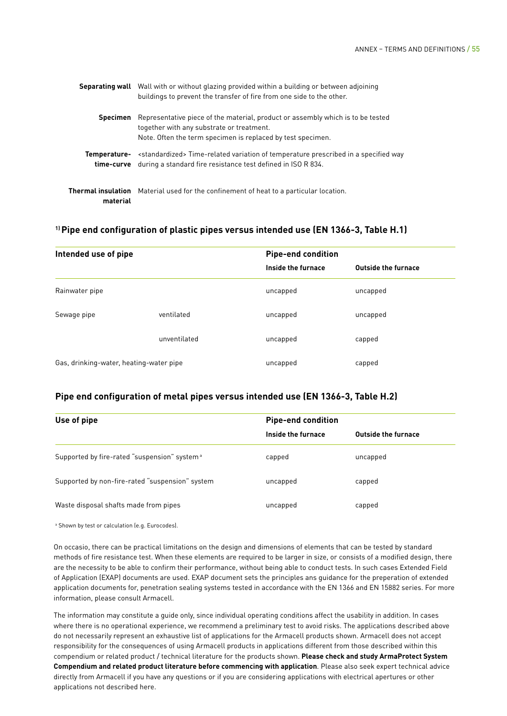|                 | <b>Separating wall</b> Wall with or without glazing provided within a building or between adjoining<br>buildings to prevent the transfer of fire from one side to the other.                      |
|-----------------|---------------------------------------------------------------------------------------------------------------------------------------------------------------------------------------------------|
| <b>Specimen</b> | Representative piece of the material, product or assembly which is to be tested<br>together with any substrate or treatment.<br>Note. Often the term specimen is replaced by test specimen.       |
|                 | <b>Temperature-</b> <standardized> Time-related variation of temperature prescribed in a specified way<br/>time-curve during a standard fire resistance test defined in ISO R 834.</standardized> |
| material        | <b>Thermal insulation</b> Material used for the confinement of heat to a particular location.                                                                                                     |

### **1) Pipe end configuration of plastic pipes versus intended use (EN 1366-3, Table H.1)**

| Intended use of pipe                    |              | <b>Pipe-end condition</b> |                            |  |
|-----------------------------------------|--------------|---------------------------|----------------------------|--|
|                                         |              | Inside the furnace        | <b>Outside the furnace</b> |  |
| Rainwater pipe                          |              | uncapped                  | uncapped                   |  |
| Sewage pipe                             | ventilated   | uncapped                  | uncapped                   |  |
|                                         | unventilated | uncapped                  | capped                     |  |
| Gas, drinking-water, heating-water pipe |              | uncapped                  | capped                     |  |

### **Pipe end configuration of metal pipes versus intended use (EN 1366-3, Table H.2)**

| Use of pipe                                              | <b>Pipe-end condition</b> |                     |  |  |
|----------------------------------------------------------|---------------------------|---------------------|--|--|
|                                                          | Inside the furnace        | Outside the furnace |  |  |
| Supported by fire-rated "suspension" system <sup>a</sup> | capped                    | uncapped            |  |  |
| Supported by non-fire-rated "suspension" system          | uncapped                  | capped              |  |  |
| Waste disposal shafts made from pipes                    | uncapped                  | capped              |  |  |

a Shown by test or calculation (e.g. Eurocodes).

On occasio, there can be practical limitations on the design and dimensions of elements that can be tested by standard methods of fire resistance test. When these elements are required to be larger in size, or consists of a modified design, there are the necessity to be able to confirm their performance, without being able to conduct tests. In such cases Extended Field of Application (EXAP) documents are used. EXAP document sets the principles ans guidance for the preperation of extended application documents for, penetration sealing systems tested in accordance with the EN 1366 and EN 15882 series. For more information, please consult Armacell.

The information may constitute a guide only, since individual operating conditions affect the usability in addition. In cases where there is no operational experience, we recommend a preliminary test to avoid risks. The applications described above do not necessarily represent an exhaustive list of applications for the Armacell products shown. Armacell does not accept responsibility for the consequences of using Armacell products in applications different from those described within this compendium or related product / technical literature for the products shown. **Please check and study ArmaProtect System Compendium and related product literature before commencing with application**. Please also seek expert technical advice directly from Armacell if you have any questions or if you are considering applications with electrical apertures or other applications not described here.